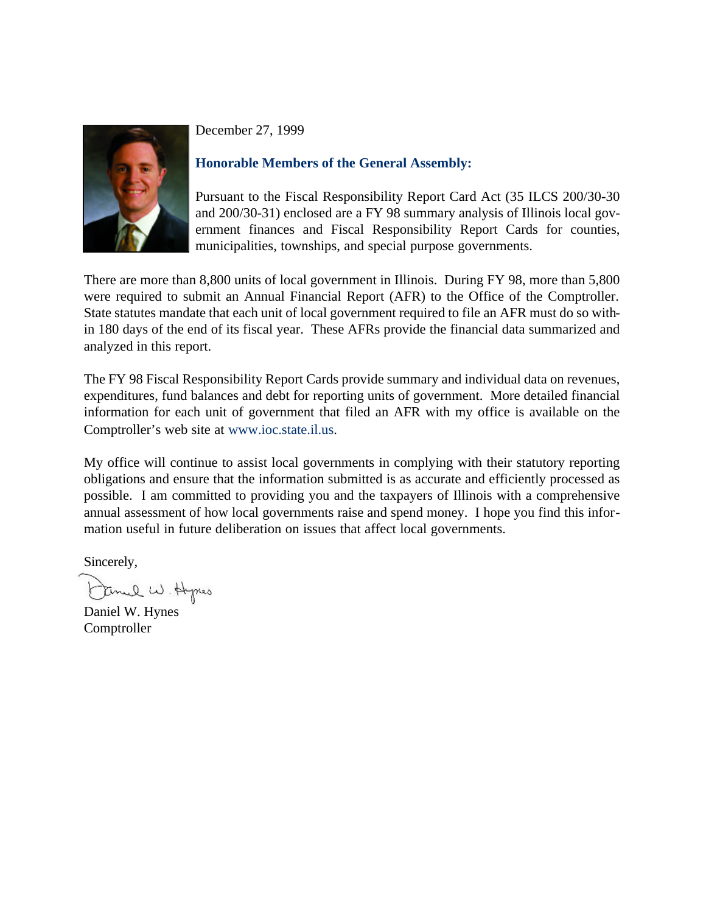

December 27, 1999

## **Honorable Members of the General Assembly:**

Pursuant to the Fiscal Responsibility Report Card Act (35 ILCS 200/30-30 and 200/30-31) enclosed are a FY 98 summary analysis of Illinois local government finances and Fiscal Responsibility Report Cards for counties, municipalities, townships, and special purpose governments.

There are more than 8,800 units of local government in Illinois. During FY 98, more than 5,800 were required to submit an Annual Financial Report (AFR) to the Office of the Comptroller. State statutes mandate that each unit of local government required to file an AFR must do so within 180 days of the end of its fiscal year. These AFRs provide the financial data summarized and analyzed in this report.

The FY 98 Fiscal Responsibility Report Cards provide summary and individual data on revenues, expenditures, fund balances and debt for reporting units of government. More detailed financial information for each unit of government that filed an AFR with my office is available on the Comptroller's web site at www.ioc.state.il.us.

My office will continue to assist local governments in complying with their statutory reporting obligations and ensure that the information submitted is as accurate and efficiently processed as possible. I am committed to providing you and the taxpayers of Illinois with a comprehensive annual assessment of how local governments raise and spend money. I hope you find this information useful in future deliberation on issues that affect local governments.

Sincerely,

Emel W. Hypes

Daniel W. Hynes Comptroller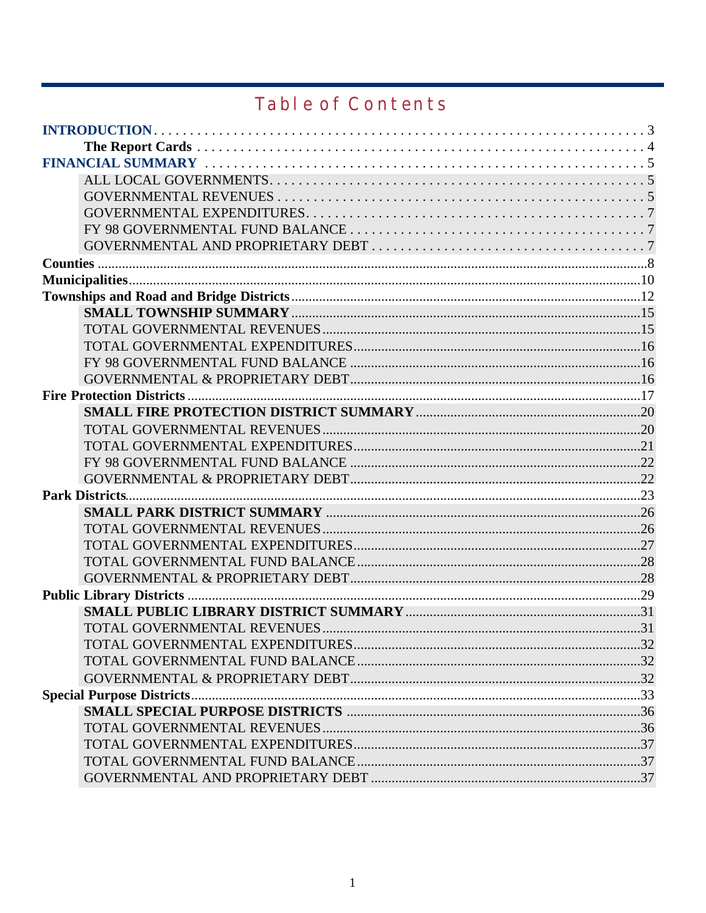# **Table of Contents**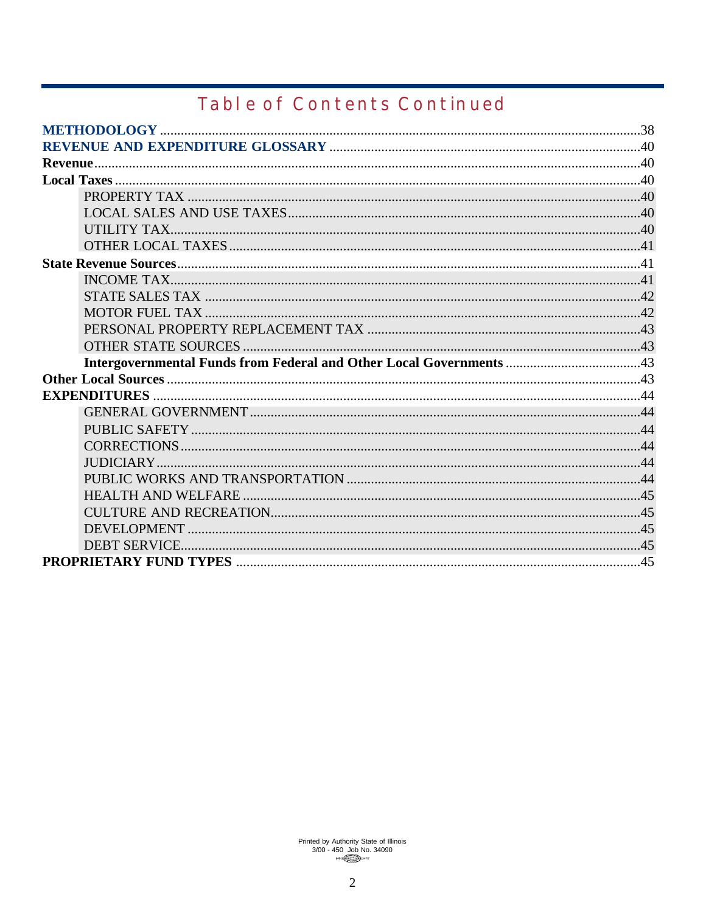# **Table of Contents Continued**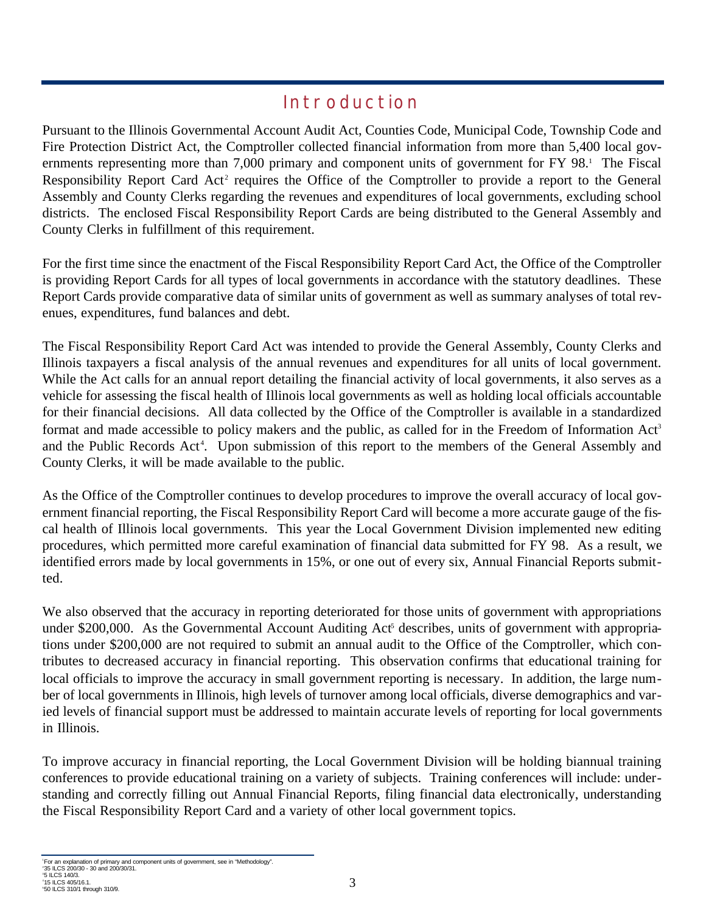## **Introduction**

Pursuant to the Illinois Governmental Account Audit Act, Counties Code, Municipal Code, Township Code and Fire Protection District Act, the Comptroller collected financial information from more than 5,400 local governments representing more than 7,000 primary and component units of government for FY 98.<sup>1</sup> The Fiscal Responsibility Report Card Act<sup>2</sup> requires the Office of the Comptroller to provide a report to the General Assembly and County Clerks regarding the revenues and expenditures of local governments, excluding school districts. The enclosed Fiscal Responsibility Report Cards are being distributed to the General Assembly and County Clerks in fulfillment of this requirement.

For the first time since the enactment of the Fiscal Responsibility Report Card Act, the Office of the Comptroller is providing Report Cards for all types of local governments in accordance with the statutory deadlines. These Report Cards provide comparative data of similar units of government as well as summary analyses of total revenues, expenditures, fund balances and debt.

The Fiscal Responsibility Report Card Act was intended to provide the General Assembly, County Clerks and Illinois taxpayers a fiscal analysis of the annual revenues and expenditures for all units of local government. While the Act calls for an annual report detailing the financial activity of local governments, it also serves as a vehicle for assessing the fiscal health of Illinois local governments as well as holding local officials accountable for their financial decisions. All data collected by the Office of the Comptroller is available in a standardized format and made accessible to policy makers and the public, as called for in the Freedom of Information Act<sup>3</sup> and the Public Records Act<sup>4</sup>. Upon submission of this report to the members of the General Assembly and County Clerks, it will be made available to the public.

As the Office of the Comptroller continues to develop procedures to improve the overall accuracy of local government financial reporting, the Fiscal Responsibility Report Card will become a more accurate gauge of the fiscal health of Illinois local governments. This year the Local Government Division implemented new editing procedures, which permitted more careful examination of financial data submitted for FY 98. As a result, we identified errors made by local governments in 15%, or one out of every six, Annual Financial Reports submitted.

We also observed that the accuracy in reporting deteriorated for those units of government with appropriations under \$200,000. As the Governmental Account Auditing Act<sup>5</sup> describes, units of government with appropriations under \$200,000 are not required to submit an annual audit to the Office of the Comptroller, which contributes to decreased accuracy in financial reporting. This observation confirms that educational training for local officials to improve the accuracy in small government reporting is necessary. In addition, the large number of local governments in Illinois, high levels of turnover among local officials, diverse demographics and varied levels of financial support must be addressed to maintain accurate levels of reporting for local governments in Illinois.

To improve accuracy in financial reporting, the Local Government Division will be holding biannual training conferences to provide educational training on a variety of subjects. Training conferences will include: understanding and correctly filling out Annual Financial Reports, filing financial data electronically, understanding the Fiscal Responsibility Report Card and a variety of other local government topics.

'For an explanation of primary and component units of government, see in "Methodology".<br>°35 ILCS 200/30 - 30 and 200/30/31. 3 5 ILCS 140/3.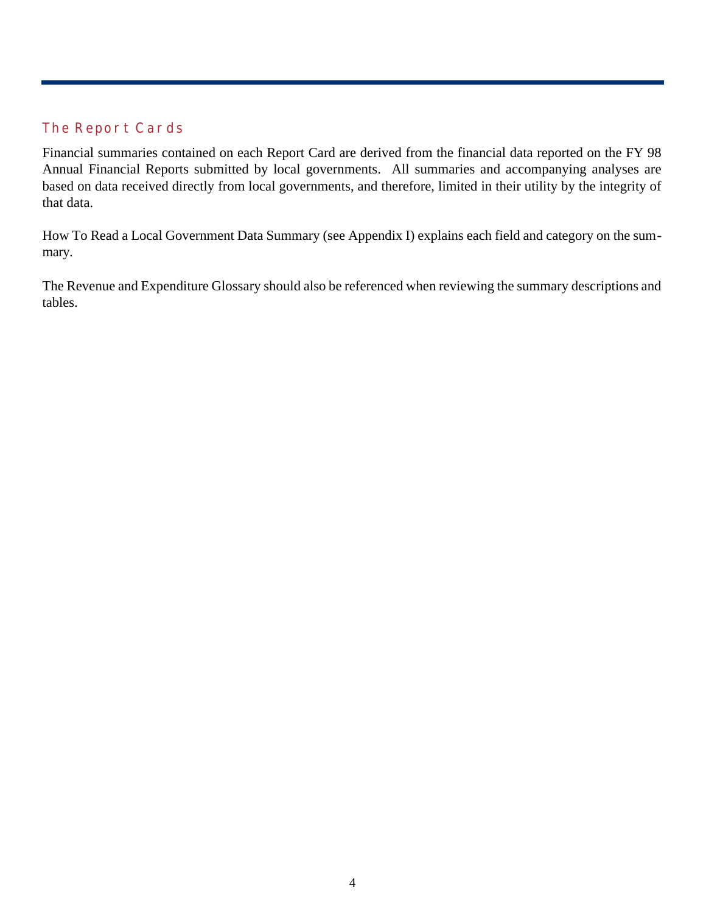## **The Report Cards**

Financial summaries contained on each Report Card are derived from the financial data reported on the FY 98 Annual Financial Reports submitted by local governments. All summaries and accompanying analyses are based on data received directly from local governments, and therefore, limited in their utility by the integrity of that data.

How To Read a Local Government Data Summary (see Appendix I) explains each field and category on the summary.

The Revenue and Expenditure Glossary should also be referenced when reviewing the summary descriptions and tables.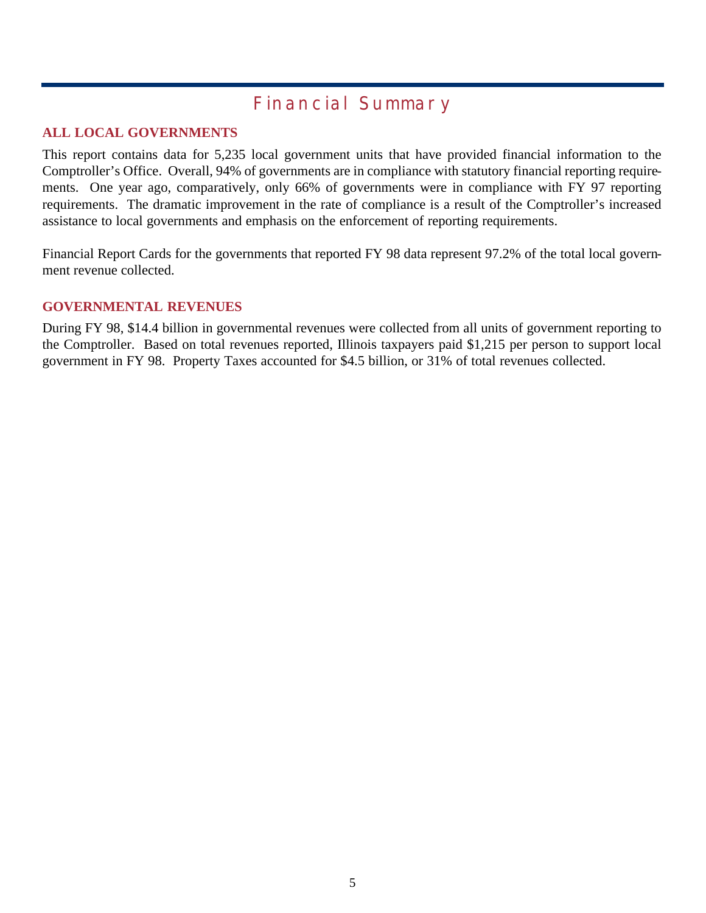## **Financial Summary**

## **ALL LOCAL GOVERNMENTS**

This report contains data for 5,235 local government units that have provided financial information to the Comptroller's Office. Overall, 94% of governments are in compliance with statutory financial reporting requirements. One year ago, comparatively, only 66% of governments were in compliance with FY 97 reporting requirements. The dramatic improvement in the rate of compliance is a result of the Comptroller's increased assistance to local governments and emphasis on the enforcement of reporting requirements.

Financial Report Cards for the governments that reported FY 98 data represent 97.2% of the total local government revenue collected.

#### **GOVERNMENTAL REVENUES**

During FY 98, \$14.4 billion in governmental revenues were collected from all units of government reporting to the Comptroller. Based on total revenues reported, Illinois taxpayers paid \$1,215 per person to support local government in FY 98. Property Taxes accounted for \$4.5 billion, or 31% of total revenues collected.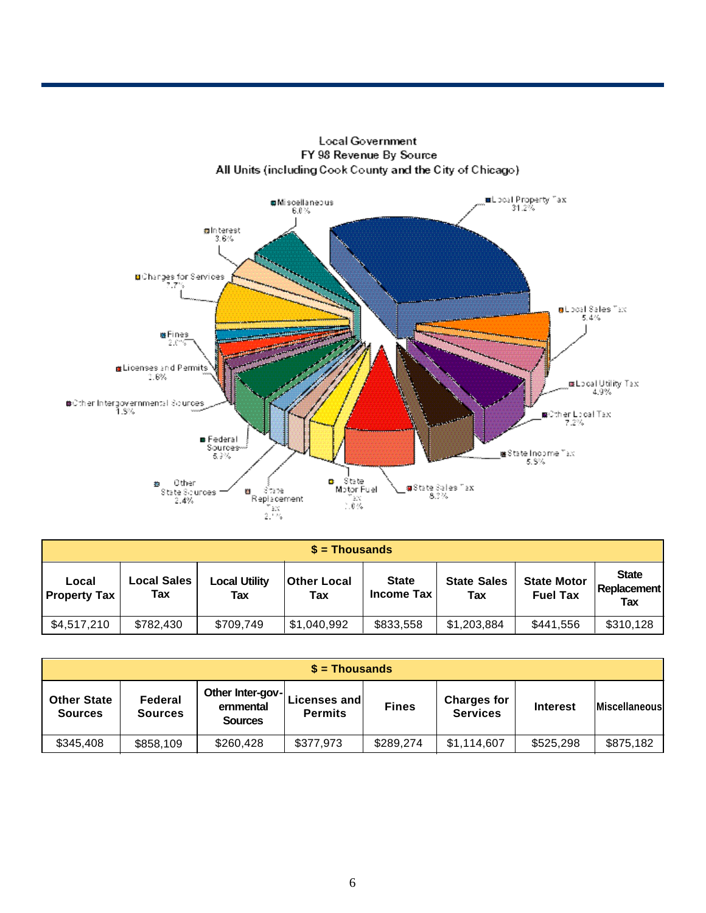

| $$ =$ Thousands              |                           |                      |                           |                                   |                           |                                       |                                           |  |  |
|------------------------------|---------------------------|----------------------|---------------------------|-----------------------------------|---------------------------|---------------------------------------|-------------------------------------------|--|--|
| Local<br><b>Property Tax</b> | <b>Local Sales</b><br>Tax | Local Utility<br>Tax | <b>Other Local</b><br>Tax | <b>State</b><br><b>Income Tax</b> | <b>State Sales</b><br>Tax | <b>State Motor</b><br><b>Fuel Tax</b> | <b>State</b><br><b>Replacement</b><br>Tax |  |  |
| \$4,517,210                  | \$782,430                 | \$709,749            | \$1,040,992               | \$833,558                         | \$1,203,884               | \$441,556                             | \$310,128                                 |  |  |

| $s =$ Thousands                      |                           |                                                 |                                |              |                                       |                 |                      |  |  |
|--------------------------------------|---------------------------|-------------------------------------------------|--------------------------------|--------------|---------------------------------------|-----------------|----------------------|--|--|
| <b>Other State</b><br><b>Sources</b> | Federal<br><b>Sources</b> | Other Inter-gov-<br>ernmental<br><b>Sources</b> | Licenses and<br><b>Permits</b> | <b>Fines</b> | <b>Charges for</b><br><b>Services</b> | <b>Interest</b> | <b>Miscellaneous</b> |  |  |
| \$345,408                            | \$858,109                 | \$260,428                                       | \$377,973                      | \$289,274    | \$1,114,607                           | \$525,298       | \$875,182            |  |  |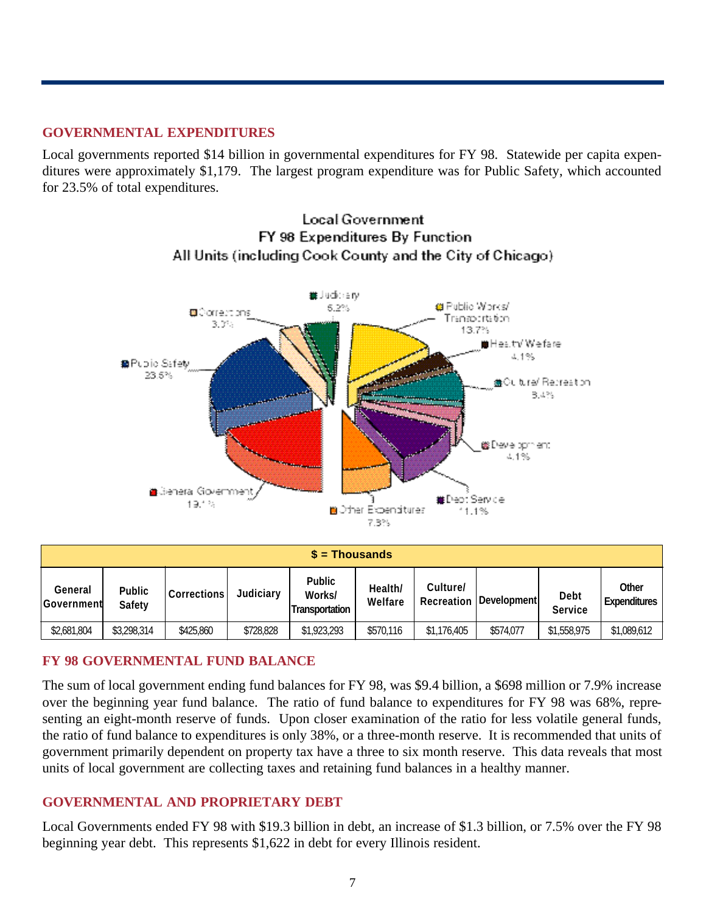## **GOVERNMENTAL EXPENDITURES**

Local governments reported \$14 billion in governmental expenditures for FY 98. Statewide per capita expenditures were approximately \$1,179. The largest program expenditure was for Public Safety, which accounted for 23.5% of total expenditures.



**Local Government** FY 98 Expenditures By Function All Units (including Cook County and the City of Chicago)

| $s =$ Thousands              |                                |                    |           |                                                  |                    |                        |                     |                               |                              |
|------------------------------|--------------------------------|--------------------|-----------|--------------------------------------------------|--------------------|------------------------|---------------------|-------------------------------|------------------------------|
| General<br><b>Government</b> | <b>Public</b><br><b>Safety</b> | <b>Corrections</b> | Judiciary | <b>Public</b><br>Works/<br><b>Transportation</b> | Health/<br>Welfare | Culture/<br>Recreation | <b>Developmentl</b> | <b>Debt</b><br><b>Service</b> | Other<br><b>Expenditures</b> |
| \$2,681,804                  | \$3,298,314                    | \$425,860          | \$728,828 | \$1,923,293                                      | \$570,116          | \$1,176,405            | \$574.077           | \$1,558,975                   | \$1,089,612                  |

## **FY 98 GOVERNMENTAL FUND BALANCE**

The sum of local government ending fund balances for FY 98, was \$9.4 billion, a \$698 million or 7.9% increase over the beginning year fund balance. The ratio of fund balance to expenditures for FY 98 was 68%, representing an eight-month reserve of funds. Upon closer examination of the ratio for less volatile general funds, the ratio of fund balance to expenditures is only 38%, or a three-month reserve. It is recommended that units of government primarily dependent on property tax have a three to six month reserve. This data reveals that most units of local government are collecting taxes and retaining fund balances in a healthy manner.

## **GOVERNMENTAL AND PROPRIETARY DEBT**

Local Governments ended FY 98 with \$19.3 billion in debt, an increase of \$1.3 billion, or 7.5% over the FY 98 beginning year debt. This represents \$1,622 in debt for every Illinois resident.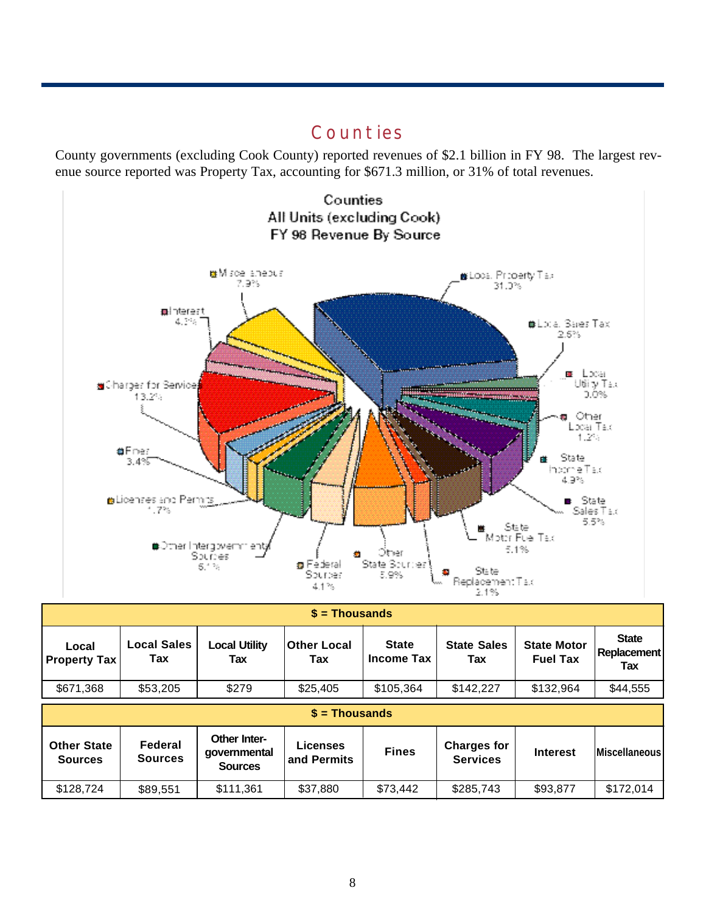## **Counties**

County governments (excluding Cook County) reported revenues of \$2.1 billion in FY 98. The largest revenue source reported was Property Tax, accounting for \$671.3 million, or 31% of total revenues.



Counties All Units (excluding Cook) FY 98 Revenue By Source

| $$ =$ Thousands                      |                           |                                                       |                                |                                   |                                       |                                       |                                           |  |  |
|--------------------------------------|---------------------------|-------------------------------------------------------|--------------------------------|-----------------------------------|---------------------------------------|---------------------------------------|-------------------------------------------|--|--|
| Local<br><b>Property Tax</b>         | <b>Local Sales</b><br>Tax | <b>Local Utility</b><br>Tax                           | <b>Other Local</b><br>Tax      | <b>State</b><br><b>Income Tax</b> | <b>State Sales</b><br>Tax             | <b>State Motor</b><br><b>Fuel Tax</b> | <b>State</b><br><b>Replacement</b><br>Tax |  |  |
| \$671,368                            | \$53,205                  | \$279                                                 | \$25,405                       | \$105,364                         | \$142,227                             | \$132,964                             | \$44,555                                  |  |  |
|                                      |                           |                                                       | $s =$ Thousands                |                                   |                                       |                                       |                                           |  |  |
| <b>Other State</b><br><b>Sources</b> | Federal<br><b>Sources</b> | <b>Other Inter-</b><br>qovernmental<br><b>Sources</b> | <b>Licenses</b><br>and Permits | <b>Fines</b>                      | <b>Charges for</b><br><b>Services</b> | <b>Interest</b>                       | <b>Miscellaneous</b>                      |  |  |
| \$128,724                            | \$89,551                  | \$111,361                                             | \$37,880                       | \$73,442                          | \$285,743                             | \$93,877                              | \$172,014                                 |  |  |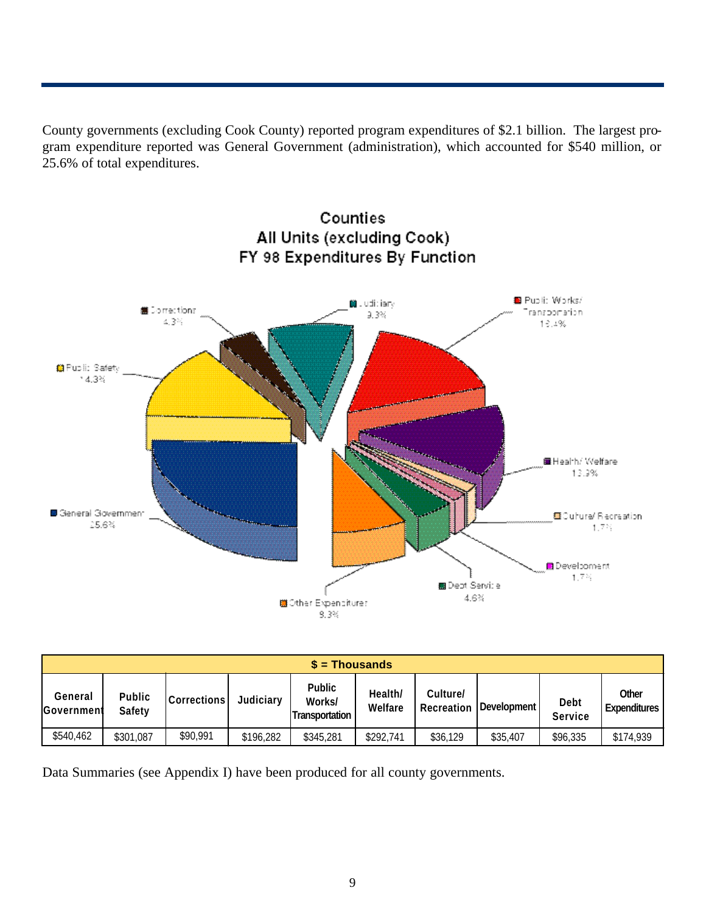County governments (excluding Cook County) reported program expenditures of \$2.1 billion. The largest program expenditure reported was General Government (administration), which accounted for \$540 million, or 25.6% of total expenditures.



|                       | $\$$ = Thousands        |                    |           |                                                  |                    |                               |             |                               |                       |  |
|-----------------------|-------------------------|--------------------|-----------|--------------------------------------------------|--------------------|-------------------------------|-------------|-------------------------------|-----------------------|--|
| General<br>Government | Public<br><b>Safety</b> | <b>Corrections</b> | Judiciary | <b>Public</b><br>Works/<br><b>Transportation</b> | Health/<br>Welfare | Culture/<br><b>Recreation</b> | Development | <b>Debt</b><br><b>Service</b> | Other<br>Expenditures |  |
| \$540,462             | \$301,087               | \$90,991           | \$196,282 | \$345,281                                        | \$292,741          | \$36,129                      | \$35,407    | \$96,335                      | \$174,939             |  |

Data Summaries (see Appendix I) have been produced for all county governments.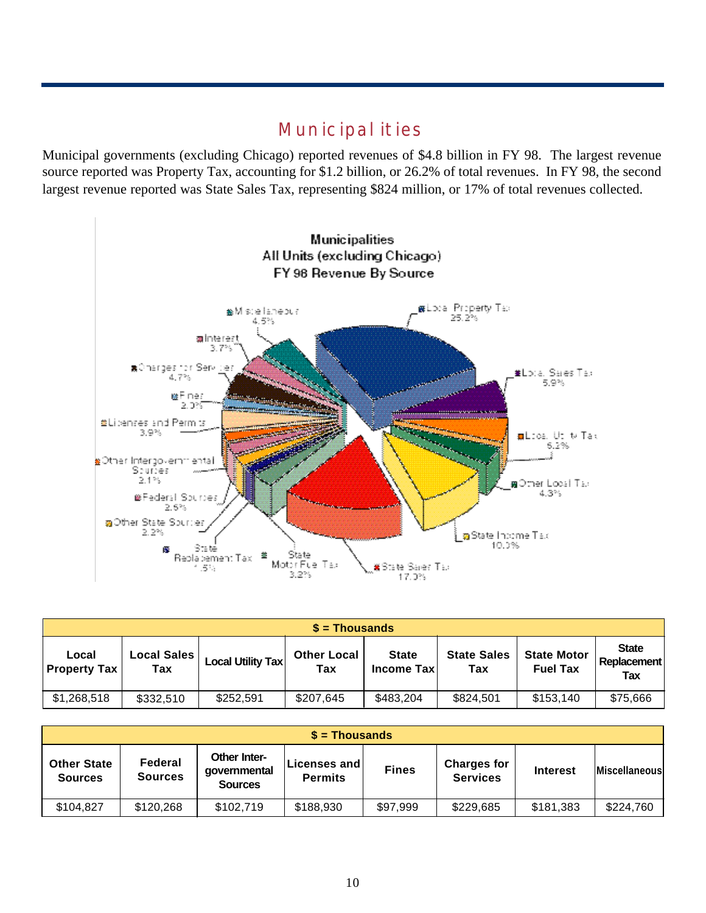## **Municipalities**

Municipal governments (excluding Chicago) reported revenues of \$4.8 billion in FY 98. The largest revenue source reported was Property Tax, accounting for \$1.2 billion, or 26.2% of total revenues. In FY 98, the second largest revenue reported was State Sales Tax, representing \$824 million, or 17% of total revenues collected.



| $$ =$ Thousands              |                    |                          |                           |                                    |                           |                                       |                                           |  |  |
|------------------------------|--------------------|--------------------------|---------------------------|------------------------------------|---------------------------|---------------------------------------|-------------------------------------------|--|--|
| Local<br><b>Property Tax</b> | Local Sales<br>Tax | <b>Local Utility Tax</b> | <b>Other Local</b><br>Tax | <b>State</b><br><b>Income Taxl</b> | <b>State Sales</b><br>Tax | <b>State Motor</b><br><b>Fuel Tax</b> | <b>State</b><br><b>Replacement</b><br>Tax |  |  |
| \$1,268,518                  | \$332,510          | \$252,591                | \$207,645                 | \$483,204                          | \$824,501                 | \$153,140                             | \$75,666                                  |  |  |

| $s =$ Thousands                      |                           |                                                |                                         |              |                                       |                 |                      |  |  |
|--------------------------------------|---------------------------|------------------------------------------------|-----------------------------------------|--------------|---------------------------------------|-----------------|----------------------|--|--|
| <b>Other State</b><br><b>Sources</b> | Federal<br><b>Sources</b> | Other Inter-<br>governmental<br><b>Sources</b> | <b>Licenses and L</b><br><b>Permits</b> | <b>Fines</b> | <b>Charges for</b><br><b>Services</b> | <b>Interest</b> | <b>Miscellaneous</b> |  |  |
| \$104,827                            | \$120,268                 | \$102,719                                      | \$188,930                               | \$97,999     | \$229,685                             | \$181,383       | \$224,760            |  |  |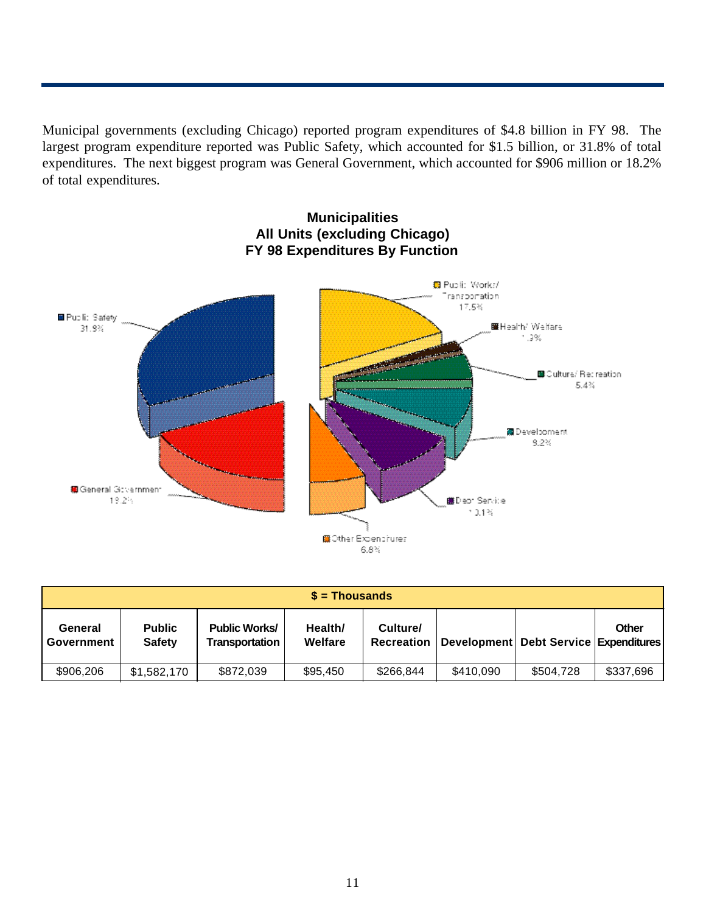Municipal governments (excluding Chicago) reported program expenditures of \$4.8 billion in FY 98. The largest program expenditure reported was Public Safety, which accounted for \$1.5 billion, or 31.8% of total expenditures. The next biggest program was General Government, which accounted for \$906 million or 18.2% of total expenditures.



## **Municipalities All Units (excluding Chicago) FY 98 Expenditures By Function**

| $s =$ Thousands       |                                |                                        |                    |                               |           |                                           |           |  |
|-----------------------|--------------------------------|----------------------------------------|--------------------|-------------------------------|-----------|-------------------------------------------|-----------|--|
| General<br>Government | <b>Public</b><br><b>Safety</b> | <b>Public Works/</b><br>Transportation | Health/<br>Welfare | Culture/<br><b>Recreation</b> |           | Development   Debt Service   Expenditures | Other     |  |
| \$906,206             | \$1,582,170                    | \$872,039                              | \$95,450           | \$266,844                     | \$410,090 | \$504,728                                 | \$337,696 |  |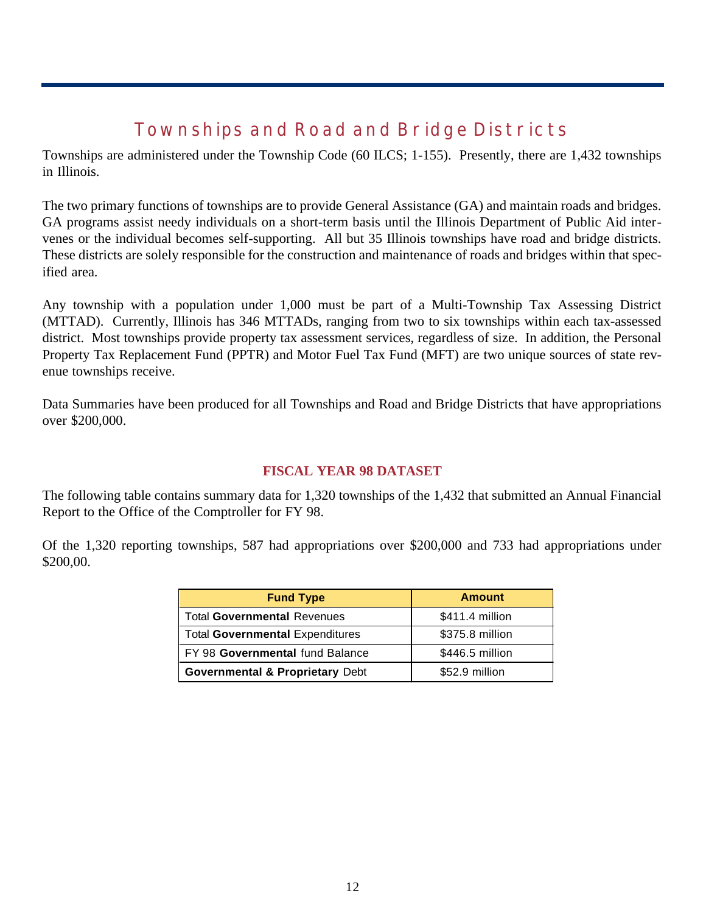# **Townships and Road and Bridge Districts**

Townships are administered under the Township Code (60 ILCS; 1-155). Presently, there are 1,432 townships in Illinois.

The two primary functions of townships are to provide General Assistance (GA) and maintain roads and bridges. GA programs assist needy individuals on a short-term basis until the Illinois Department of Public Aid intervenes or the individual becomes self-supporting. All but 35 Illinois townships have road and bridge districts. These districts are solely responsible for the construction and maintenance of roads and bridges within that specified area.

Any township with a population under 1,000 must be part of a Multi-Township Tax Assessing District (MTTAD). Currently, Illinois has 346 MTTADs, ranging from two to six townships within each tax-assessed district. Most townships provide property tax assessment services, regardless of size. In addition, the Personal Property Tax Replacement Fund (PPTR) and Motor Fuel Tax Fund (MFT) are two unique sources of state revenue townships receive.

Data Summaries have been produced for all Townships and Road and Bridge Districts that have appropriations over \$200,000.

#### **FISCAL YEAR 98 DATASET**

The following table contains summary data for 1,320 townships of the 1,432 that submitted an Annual Financial Report to the Office of the Comptroller for FY 98.

Of the 1,320 reporting townships, 587 had appropriations over \$200,000 and 733 had appropriations under \$200,00.

| <b>Fund Type</b>                           | <b>Amount</b>   |
|--------------------------------------------|-----------------|
| <b>Total Governmental Revenues</b>         | \$411.4 million |
| <b>Total Governmental Expenditures</b>     | \$375.8 million |
| FY 98 Governmental fund Balance            | \$446.5 million |
| <b>Governmental &amp; Proprietary Debt</b> | \$52.9 million  |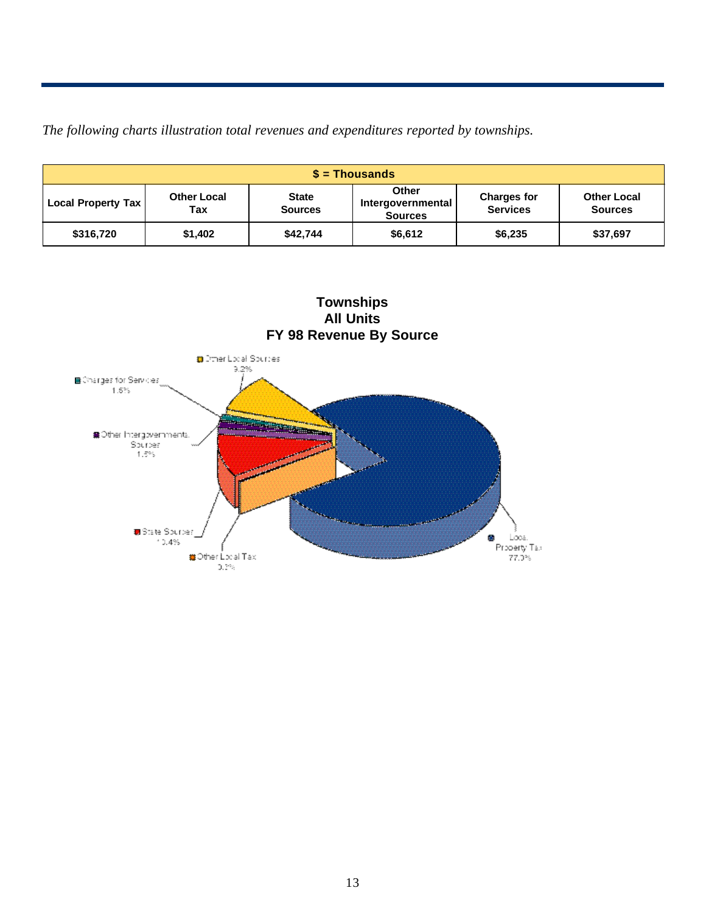*The following charts illustration total revenues and expenditures reported by townships.*

| $$ =$ Thousands           |                           |                                |                                              |                                       |                                      |  |  |  |
|---------------------------|---------------------------|--------------------------------|----------------------------------------------|---------------------------------------|--------------------------------------|--|--|--|
| <b>Local Property Tax</b> | <b>Other Local</b><br>Tax | <b>State</b><br><b>Sources</b> | Other<br>Intergovernmental<br><b>Sources</b> | <b>Charges for</b><br><b>Services</b> | <b>Other Local</b><br><b>Sources</b> |  |  |  |
| \$316,720                 | \$1,402                   | \$42.744                       | \$6,612                                      | \$6,235                               | \$37,697                             |  |  |  |



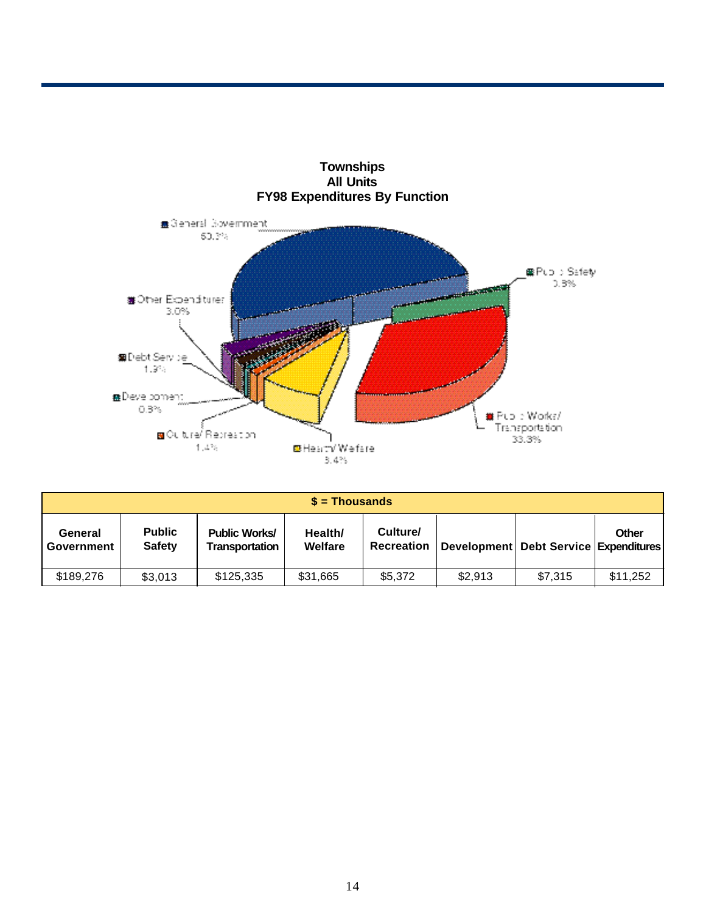

|                       | $s =$ Thousands                |                                        |                    |                        |         |                                           |          |  |  |  |  |
|-----------------------|--------------------------------|----------------------------------------|--------------------|------------------------|---------|-------------------------------------------|----------|--|--|--|--|
| General<br>Government | <b>Public</b><br><b>Safety</b> | <b>Public Works/</b><br>Transportation | Health/<br>Welfare | Culture/<br>Recreation |         | Development   Debt Service   Expenditures | Other    |  |  |  |  |
| \$189,276             | \$3,013                        | \$125,335                              | \$31,665           | \$5,372                | \$2,913 | \$7,315                                   | \$11,252 |  |  |  |  |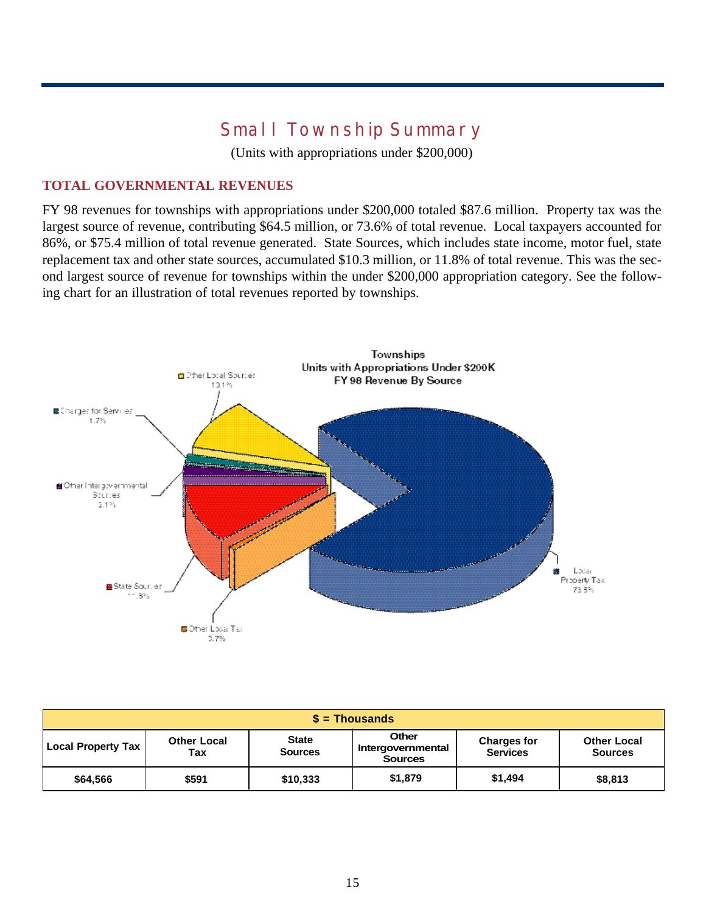# **Small Township Summary**

(Units with appropriations under \$200,000)

## **TOTAL GOVERNMENTAL REVENUES**

FY 98 revenues for townships with appropriations under \$200,000 totaled \$87.6 million. Property tax was the largest source of revenue, contributing \$64.5 million, or 73.6% of total revenue. Local taxpayers accounted for 86%, or \$75.4 million of total revenue generated. State Sources, which includes state income, motor fuel, state replacement tax and other state sources, accumulated \$10.3 million, or 11.8% of total revenue. This was the second largest source of revenue for townships within the under \$200,000 appropriation category. See the following chart for an illustration of total revenues reported by townships.



| $$ =$ Thousands           |                           |                                |                                                     |                                       |                                      |  |  |  |  |
|---------------------------|---------------------------|--------------------------------|-----------------------------------------------------|---------------------------------------|--------------------------------------|--|--|--|--|
| <b>Local Property Tax</b> | <b>Other Local</b><br>Tax | <b>State</b><br><b>Sources</b> | <b>Other</b><br>Intergovernmental<br><b>Sources</b> | <b>Charges for</b><br><b>Services</b> | <b>Other Local</b><br><b>Sources</b> |  |  |  |  |
| \$64,566                  | \$591                     | \$10,333                       | \$1,879                                             | \$1,494                               | \$8,813                              |  |  |  |  |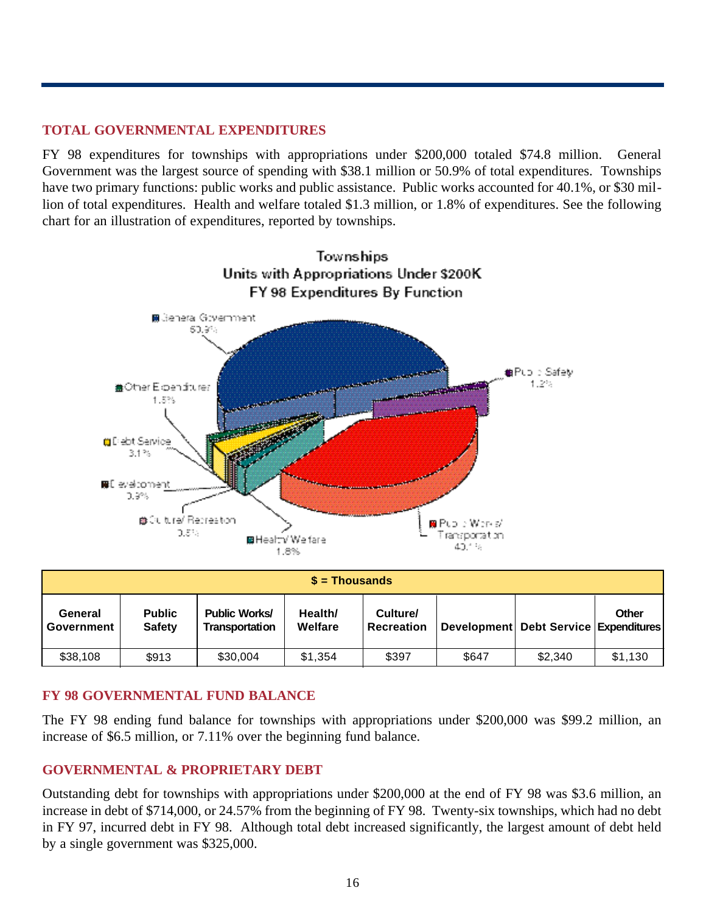## **TOTAL GOVERNMENTAL EXPENDITURES**

FY 98 expenditures for townships with appropriations under \$200,000 totaled \$74.8 million. General Government was the largest source of spending with \$38.1 million or 50.9% of total expenditures. Townships have two primary functions: public works and public assistance. Public works accounted for 40.1%, or \$30 million of total expenditures. Health and welfare totaled \$1.3 million, or 1.8% of expenditures. See the following chart for an illustration of expenditures, reported by townships.



|                       | $$ =$ Thousands                |                                        |                    |                               |       |                                       |         |  |  |  |  |
|-----------------------|--------------------------------|----------------------------------------|--------------------|-------------------------------|-------|---------------------------------------|---------|--|--|--|--|
| General<br>Government | <b>Public</b><br><b>Safety</b> | <b>Public Works/</b><br>Transportation | Health/<br>Welfare | Culture/<br><b>Recreation</b> |       | Development Debt Service Expenditures | Other   |  |  |  |  |
| \$38,108              | \$913                          | \$30,004                               | \$1,354            | \$397                         | \$647 | \$2,340                               | \$1,130 |  |  |  |  |

## **FY 98 GOVERNMENTAL FUND BALANCE**

The FY 98 ending fund balance for townships with appropriations under \$200,000 was \$99.2 million, an increase of \$6.5 million, or 7.11% over the beginning fund balance.

## **GOVERNMENTAL & PROPRIETARY DEBT**

Outstanding debt for townships with appropriations under \$200,000 at the end of FY 98 was \$3.6 million, an increase in debt of \$714,000, or 24.57% from the beginning of FY 98. Twenty-six townships, which had no debt in FY 97, incurred debt in FY 98. Although total debt increased significantly, the largest amount of debt held by a single government was \$325,000.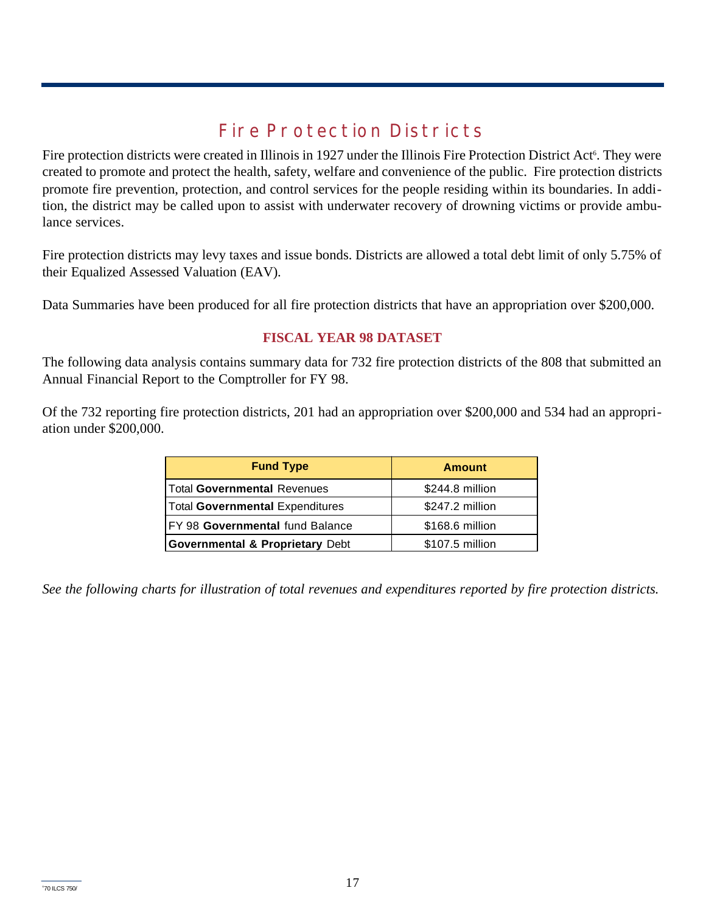# **Fire Protection Districts**

Fire protection districts were created in Illinois in 1927 under the Illinois Fire Protection District Act<sup>6</sup>. They were created to promote and protect the health, safety, welfare and convenience of the public. Fire protection districts promote fire prevention, protection, and control services for the people residing within its boundaries. In addition, the district may be called upon to assist with underwater recovery of drowning victims or provide ambulance services.

Fire protection districts may levy taxes and issue bonds. Districts are allowed a total debt limit of only 5.75% of their Equalized Assessed Valuation (EAV).

Data Summaries have been produced for all fire protection districts that have an appropriation over \$200,000.

## **FISCAL YEAR 98 DATASET**

The following data analysis contains summary data for 732 fire protection districts of the 808 that submitted an Annual Financial Report to the Comptroller for FY 98.

Of the 732 reporting fire protection districts, 201 had an appropriation over \$200,000 and 534 had an appropriation under \$200,000.

| <b>Fund Type</b>                           | <b>Amount</b>   |  |  |
|--------------------------------------------|-----------------|--|--|
| Total Governmental Revenues                | \$244.8 million |  |  |
| <b>Total Governmental Expenditures</b>     | \$247.2 million |  |  |
| FY 98 Governmental fund Balance            | \$168.6 million |  |  |
| <b>Governmental &amp; Proprietary Debt</b> | \$107.5 million |  |  |

*See the following charts for illustration of total revenues and expenditures reported by fire protection districts.*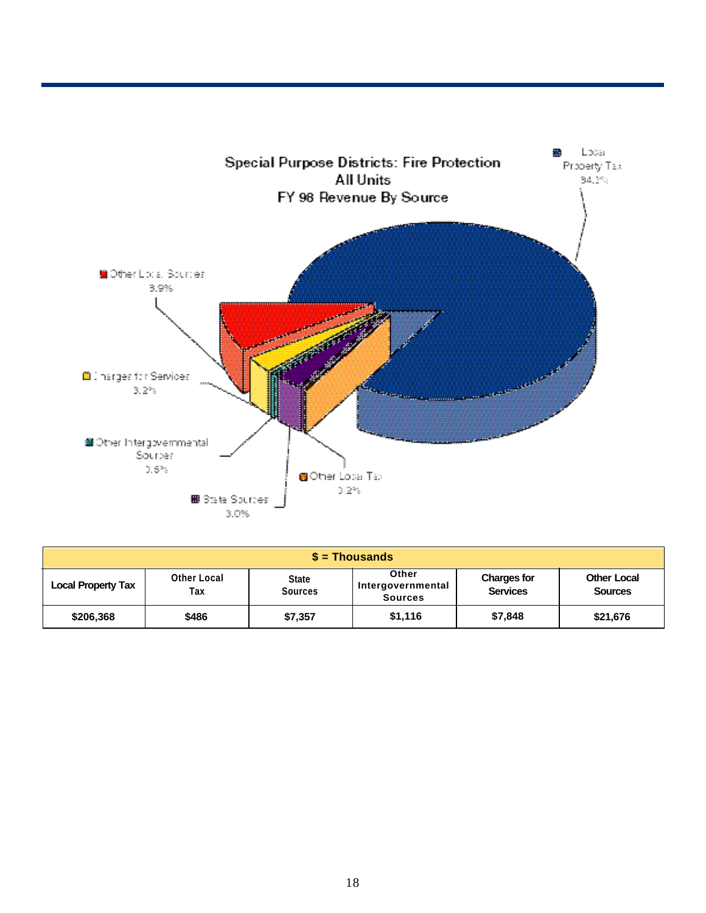

| $$ =$ Thousands           |                           |                                |                                                     |                                       |                                      |  |  |  |  |  |
|---------------------------|---------------------------|--------------------------------|-----------------------------------------------------|---------------------------------------|--------------------------------------|--|--|--|--|--|
| <b>Local Property Tax</b> | <b>Other Local</b><br>Tax | <b>State</b><br><b>Sources</b> | <b>Other</b><br>Intergovernmental<br><b>Sources</b> | <b>Charges for</b><br><b>Services</b> | <b>Other Local</b><br><b>Sources</b> |  |  |  |  |  |
| \$206,368                 | \$486                     | \$7,357                        | \$1,116                                             | \$7,848                               | \$21,676                             |  |  |  |  |  |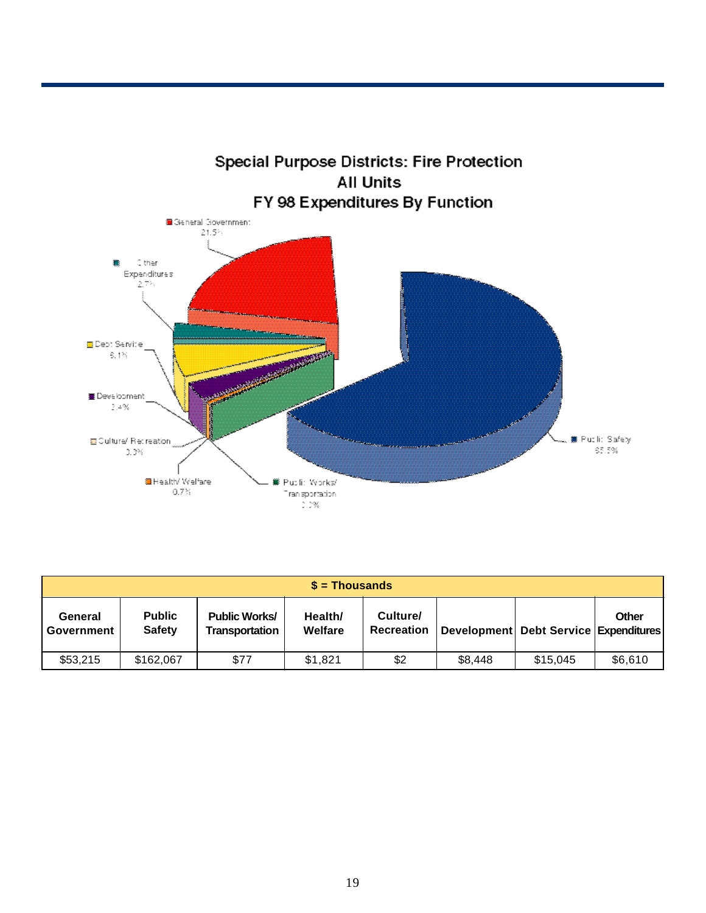

| $$ =$ Thousands       |                                |                                        |                    |                               |         |                                           |         |  |  |  |
|-----------------------|--------------------------------|----------------------------------------|--------------------|-------------------------------|---------|-------------------------------------------|---------|--|--|--|
| General<br>Government | <b>Public</b><br><b>Safety</b> | <b>Public Works/</b><br>Transportation | Health/<br>Welfare | Culture/<br><b>Recreation</b> |         | Development   Debt Service   Expenditures | Other   |  |  |  |
| \$53,215              | \$162,067                      | \$77                                   | \$1,821            | \$2                           | \$8,448 | \$15.045                                  | \$6,610 |  |  |  |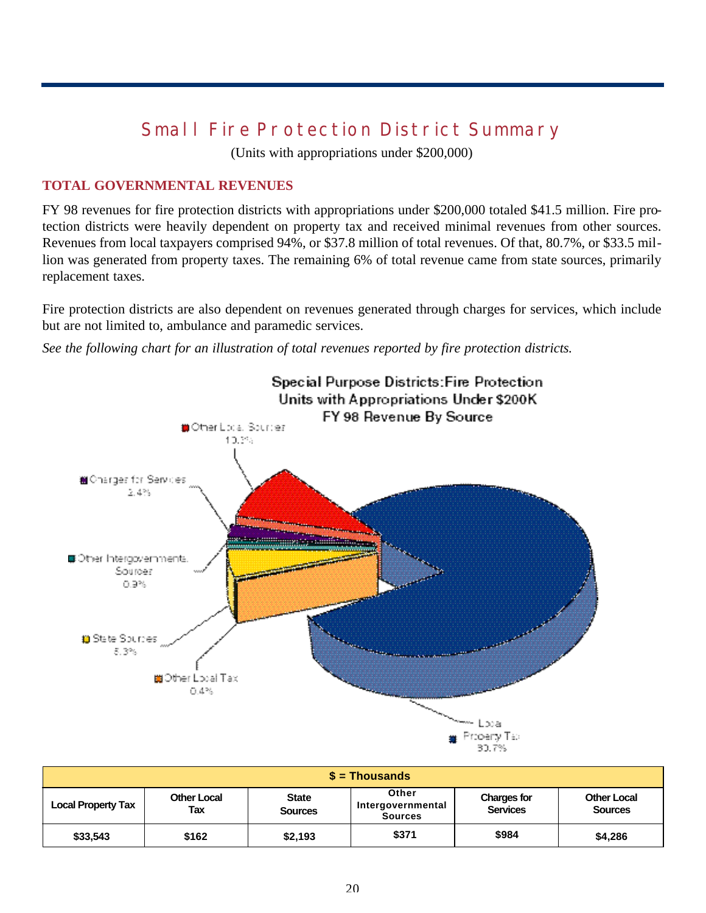# **Small Fire Protection District Summary**

(Units with appropriations under \$200,000)

#### **TOTAL GOVERNMENTAL REVENUES**

FY 98 revenues for fire protection districts with appropriations under \$200,000 totaled \$41.5 million. Fire protection districts were heavily dependent on property tax and received minimal revenues from other sources. Revenues from local taxpayers comprised 94%, or \$37.8 million of total revenues. Of that, 80.7%, or \$33.5 million was generated from property taxes. The remaining 6% of total revenue came from state sources, primarily replacement taxes.

Fire protection districts are also dependent on revenues generated through charges for services, which include but are not limited to, ambulance and paramedic services.

*See the following chart for an illustration of total revenues reported by fire protection districts.*



| $\sqrt{s}$ = Thousands    |                           |                                |                                              |                                       |                                      |  |  |  |  |
|---------------------------|---------------------------|--------------------------------|----------------------------------------------|---------------------------------------|--------------------------------------|--|--|--|--|
| <b>Local Property Tax</b> | <b>Other Local</b><br>Tax | <b>State</b><br><b>Sources</b> | Other<br>Intergovernmental<br><b>Sources</b> | <b>Charges for</b><br><b>Services</b> | <b>Other Local</b><br><b>Sources</b> |  |  |  |  |
| \$33,543                  | \$162                     | \$2,193                        | \$371                                        | \$984                                 | \$4,286                              |  |  |  |  |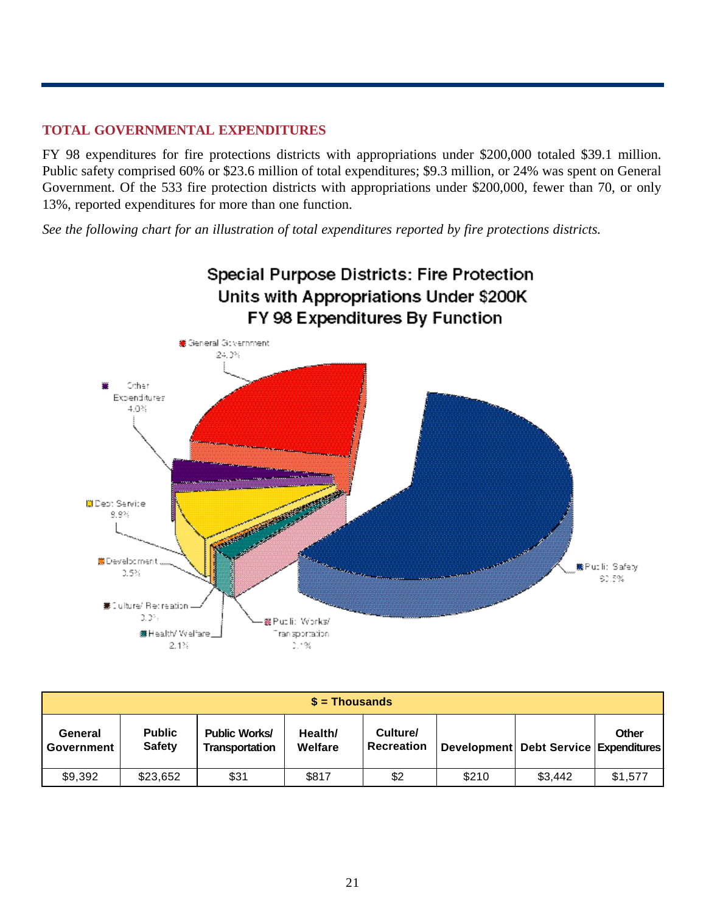## **TOTAL GOVERNMENTAL EXPENDITURES**

FY 98 expenditures for fire protections districts with appropriations under \$200,000 totaled \$39.1 million. Public safety comprised 60% or \$23.6 million of total expenditures; \$9.3 million, or 24% was spent on General Government. Of the 533 fire protection districts with appropriations under \$200,000, fewer than 70, or only 13%, reported expenditures for more than one function.

*See the following chart for an illustration of total expenditures reported by fire protections districts.*



|                       | $s =$ Thousands                |                                        |                    |                               |       |                                           |              |  |  |  |  |
|-----------------------|--------------------------------|----------------------------------------|--------------------|-------------------------------|-------|-------------------------------------------|--------------|--|--|--|--|
| General<br>Government | <b>Public</b><br><b>Safety</b> | <b>Public Works/</b><br>Transportation | Health/<br>Welfare | Culture/<br><b>Recreation</b> |       | Development   Debt Service   Expenditures | <b>Other</b> |  |  |  |  |
| \$9,392               | \$23,652                       | \$31                                   | \$817              | \$2                           | \$210 | \$3,442                                   | \$1,577      |  |  |  |  |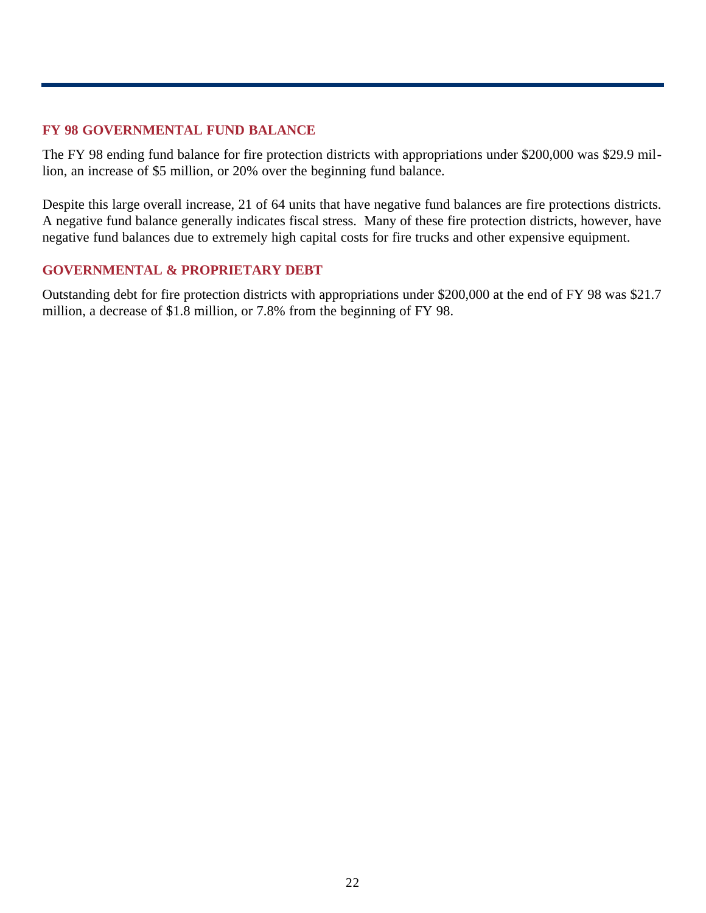## **FY 98 GOVERNMENTAL FUND BALANCE**

The FY 98 ending fund balance for fire protection districts with appropriations under \$200,000 was \$29.9 million, an increase of \$5 million, or 20% over the beginning fund balance.

Despite this large overall increase, 21 of 64 units that have negative fund balances are fire protections districts. A negative fund balance generally indicates fiscal stress. Many of these fire protection districts, however, have negative fund balances due to extremely high capital costs for fire trucks and other expensive equipment.

## **GOVERNMENTAL & PROPRIETARY DEBT**

Outstanding debt for fire protection districts with appropriations under \$200,000 at the end of FY 98 was \$21.7 million, a decrease of \$1.8 million, or 7.8% from the beginning of FY 98.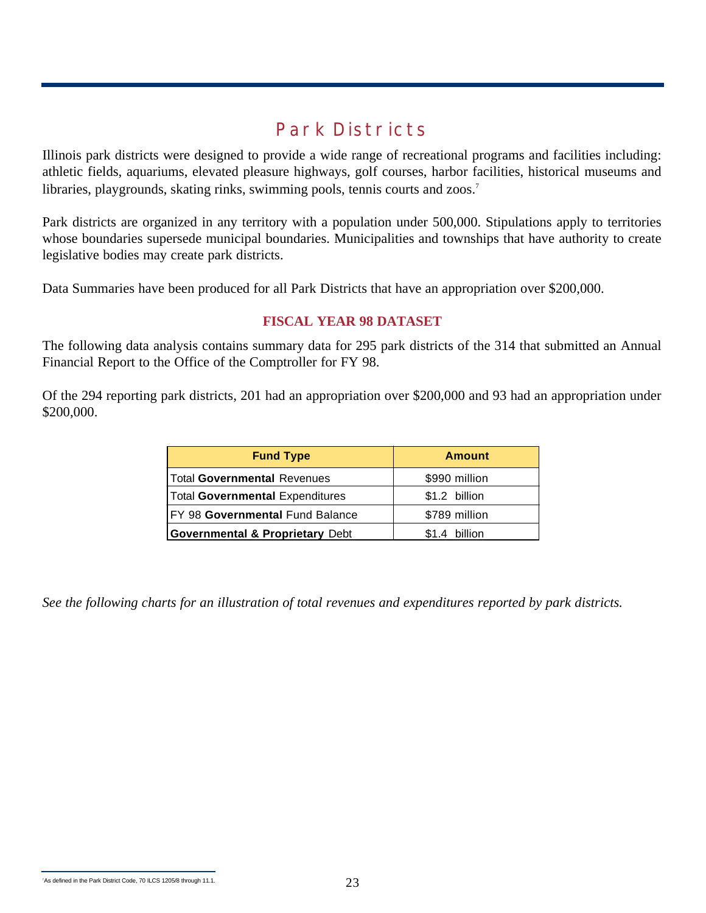## **Park Districts**

Illinois park districts were designed to provide a wide range of recreational programs and facilities including: athletic fields, aquariums, elevated pleasure highways, golf courses, harbor facilities, historical museums and libraries, playgrounds, skating rinks, swimming pools, tennis courts and zoos.<sup>7</sup>

Park districts are organized in any territory with a population under 500,000. Stipulations apply to territories whose boundaries supersede municipal boundaries. Municipalities and townships that have authority to create legislative bodies may create park districts.

Data Summaries have been produced for all Park Districts that have an appropriation over \$200,000.

#### **FISCAL YEAR 98 DATASET**

The following data analysis contains summary data for 295 park districts of the 314 that submitted an Annual Financial Report to the Office of the Comptroller for FY 98.

Of the 294 reporting park districts, 201 had an appropriation over \$200,000 and 93 had an appropriation under \$200,000.

| <b>Fund Type</b>                           | <b>Amount</b>    |
|--------------------------------------------|------------------|
| <b>Total Governmental Revenues</b>         | \$990 million    |
| <b>Total Governmental Expenditures</b>     | \$1.2 billion    |
| FY 98 Governmental Fund Balance            | \$789 million    |
| <b>Governmental &amp; Proprietary Debt</b> | billion<br>\$1.4 |

*See the following charts for an illustration of total revenues and expenditures reported by park districts.* 

<sup>7</sup>As defined in the Park District Code, 70 ILCS 1205/8 through 11.1.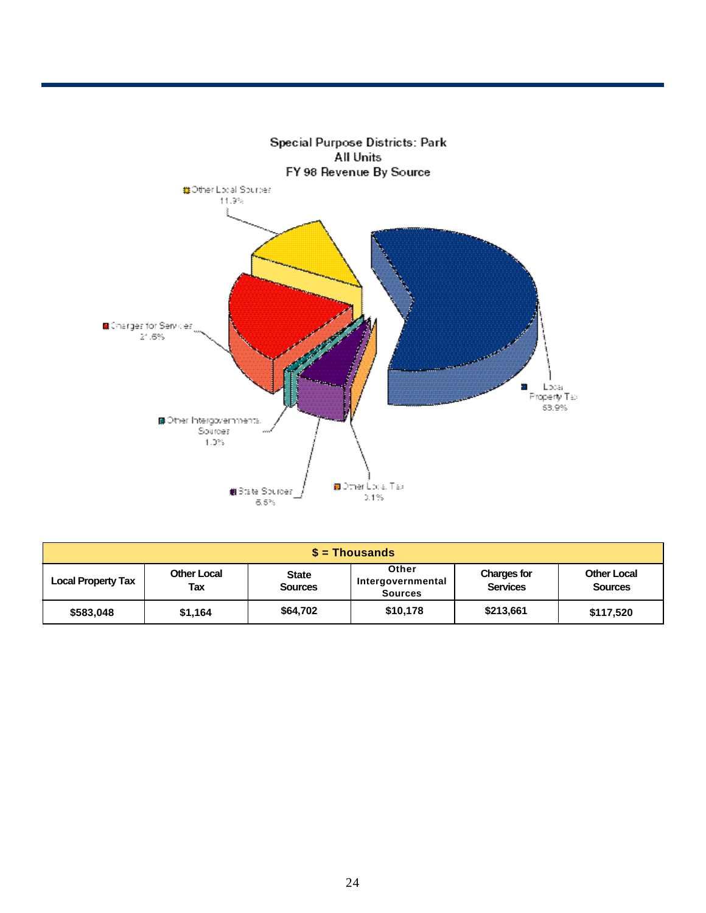

| $$ =$ Thousands           |                    |                                |                                              |                                       |                                      |  |  |  |  |
|---------------------------|--------------------|--------------------------------|----------------------------------------------|---------------------------------------|--------------------------------------|--|--|--|--|
| <b>Local Property Tax</b> | Other Local<br>Tax | <b>State</b><br><b>Sources</b> | Other<br>Intergovernmental<br><b>Sources</b> | <b>Charges for</b><br><b>Services</b> | <b>Other Local</b><br><b>Sources</b> |  |  |  |  |
| \$583,048                 | \$1,164            | \$64,702                       | \$10,178                                     | \$213,661                             | \$117,520                            |  |  |  |  |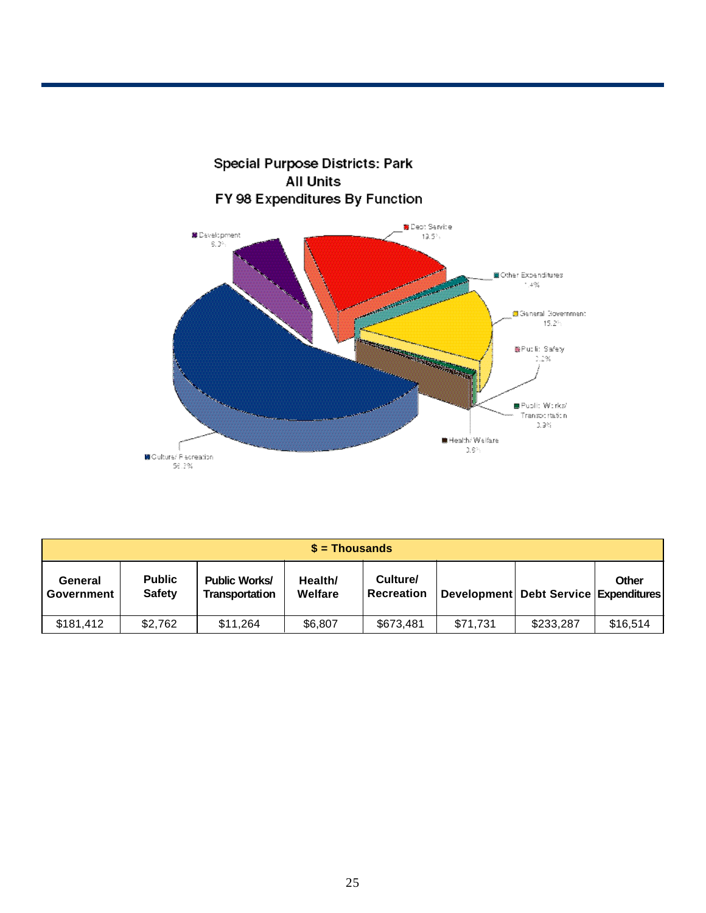

|                       | $s =$ Thousands                |                                        |                    |                               |          |                                           |          |  |  |  |  |
|-----------------------|--------------------------------|----------------------------------------|--------------------|-------------------------------|----------|-------------------------------------------|----------|--|--|--|--|
| General<br>Government | <b>Public</b><br><b>Safety</b> | <b>Public Works/</b><br>Transportation | Health/<br>Welfare | Culture/<br><b>Recreation</b> |          | Development   Debt Service   Expenditures | Other    |  |  |  |  |
| \$181,412             | \$2,762                        | \$11.264                               | \$6.807            | \$673,481                     | \$71.731 | \$233,287                                 | \$16,514 |  |  |  |  |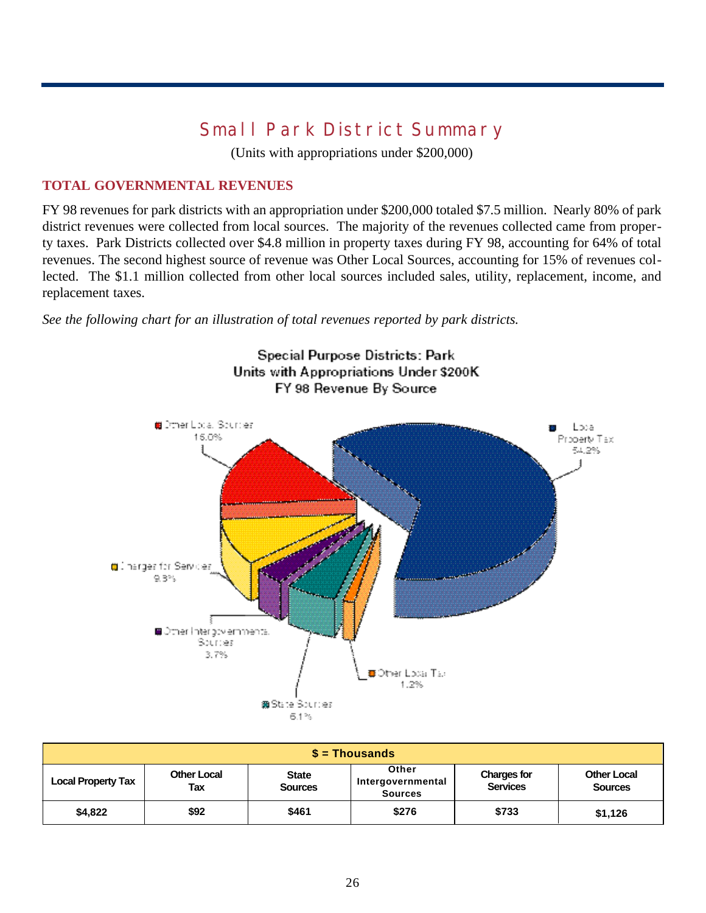# **Small Park District Summary**

(Units with appropriations under \$200,000)

## **TOTAL GOVERNMENTAL REVENUES**

FY 98 revenues for park districts with an appropriation under \$200,000 totaled \$7.5 million. Nearly 80% of park district revenues were collected from local sources. The majority of the revenues collected came from property taxes. Park Districts collected over \$4.8 million in property taxes during FY 98, accounting for 64% of total revenues. The second highest source of revenue was Other Local Sources, accounting for 15% of revenues collected. The \$1.1 million collected from other local sources included sales, utility, replacement, income, and replacement taxes.

*See the following chart for an illustration of total revenues reported by park districts.* 



| $s =$ Thousands           |                           |                                |                                              |                                       |                                      |  |  |  |  |
|---------------------------|---------------------------|--------------------------------|----------------------------------------------|---------------------------------------|--------------------------------------|--|--|--|--|
| <b>Local Property Tax</b> | <b>Other Local</b><br>Tax | <b>State</b><br><b>Sources</b> | Other<br>Intergovernmental<br><b>Sources</b> | <b>Charges for</b><br><b>Services</b> | <b>Other Local</b><br><b>Sources</b> |  |  |  |  |
| \$4,822                   | \$92                      | \$461                          | \$276                                        | \$733                                 | \$1,126                              |  |  |  |  |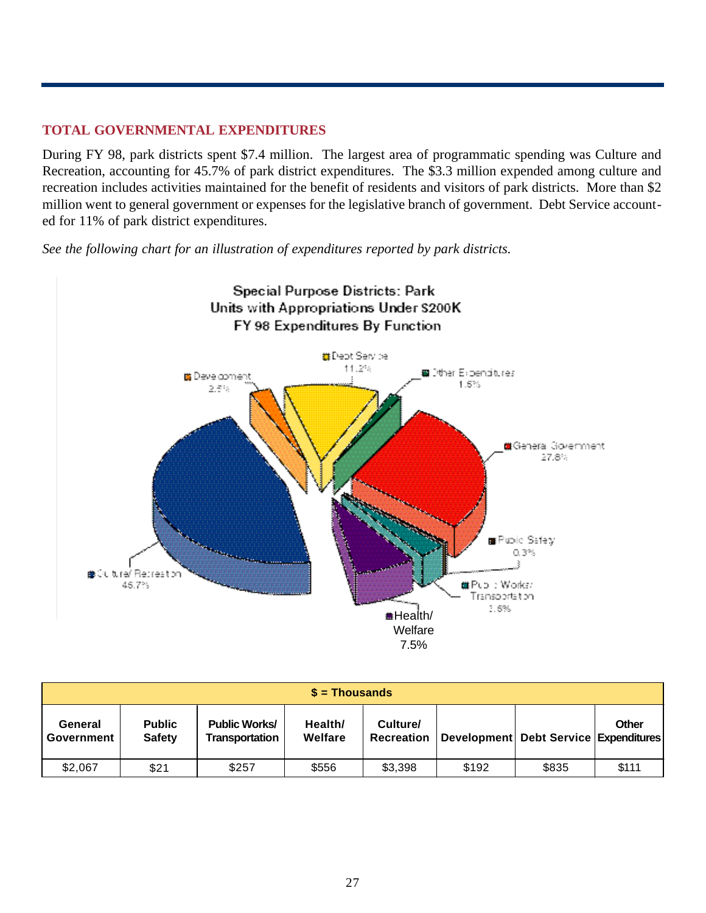## **TOTAL GOVERNMENTAL EXPENDITURES**

During FY 98, park districts spent \$7.4 million. The largest area of programmatic spending was Culture and Recreation, accounting for 45.7% of park district expenditures. The \$3.3 million expended among culture and recreation includes activities maintained for the benefit of residents and visitors of park districts. More than \$2 million went to general government or expenses for the legislative branch of government. Debt Service accounted for 11% of park district expenditures.

*See the following chart for an illustration of expenditures reported by park districts.* 



| $$ =$ Thousands       |                                |                                        |                    |                               |       |                                       |       |  |
|-----------------------|--------------------------------|----------------------------------------|--------------------|-------------------------------|-------|---------------------------------------|-------|--|
| General<br>Government | <b>Public</b><br><b>Safety</b> | <b>Public Works/</b><br>Transportation | Health/<br>Welfare | Culture/<br><b>Recreation</b> |       | Development Debt Service Expenditures | Other |  |
| \$2,067               | \$21                           | \$257                                  | \$556              | \$3,398                       | \$192 | \$835                                 | \$111 |  |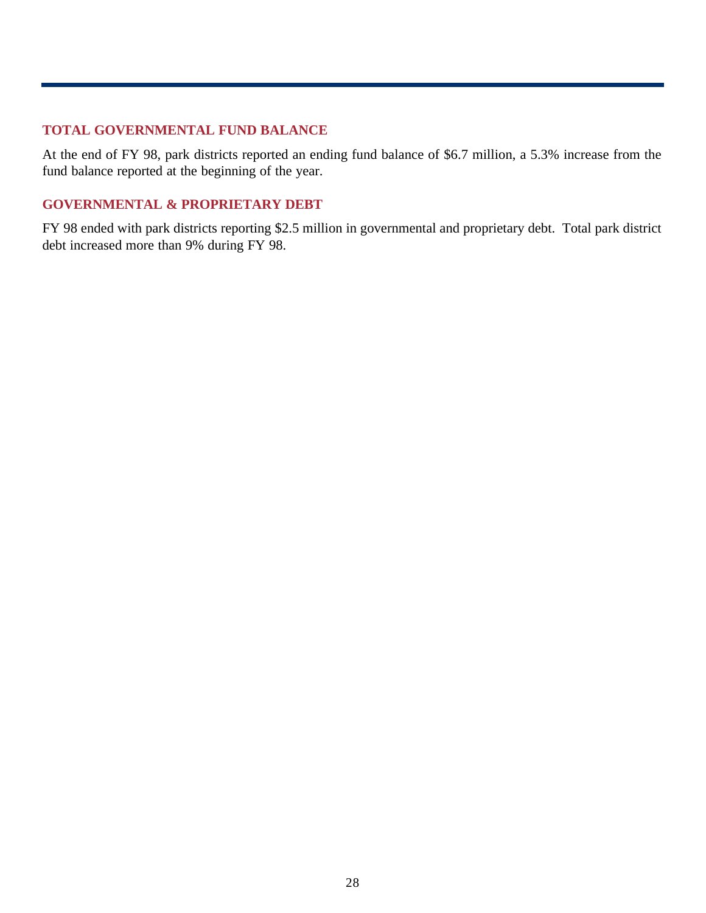## **TOTAL GOVERNMENTAL FUND BALANCE**

At the end of FY 98, park districts reported an ending fund balance of \$6.7 million, a 5.3% increase from the fund balance reported at the beginning of the year.

## **GOVERNMENTAL & PROPRIETARY DEBT**

FY 98 ended with park districts reporting \$2.5 million in governmental and proprietary debt. Total park district debt increased more than 9% during FY 98.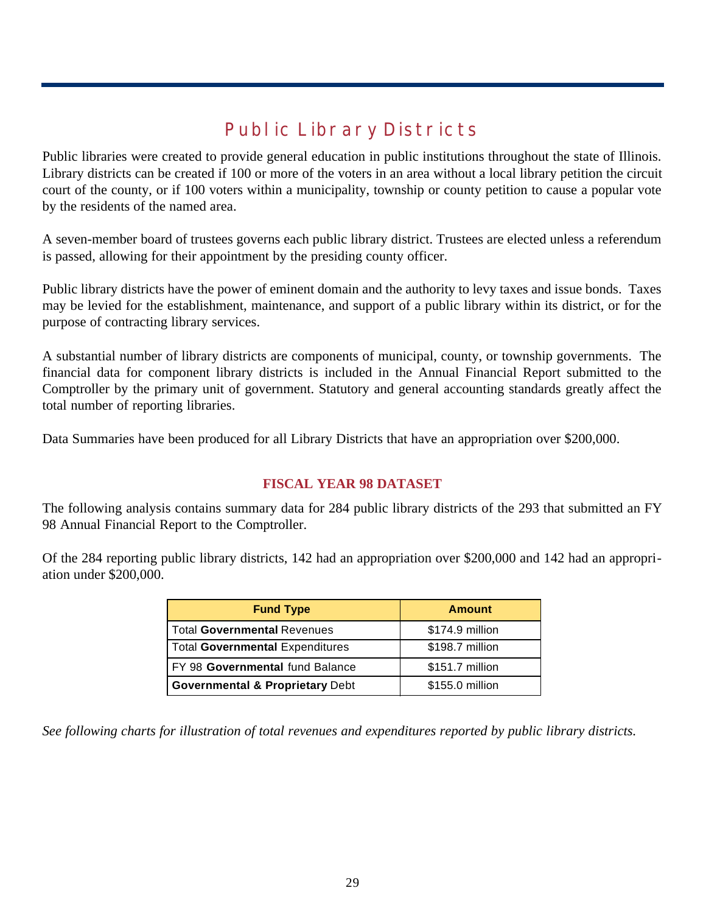# **Public Library Districts**

Public libraries were created to provide general education in public institutions throughout the state of Illinois. Library districts can be created if 100 or more of the voters in an area without a local library petition the circuit court of the county, or if 100 voters within a municipality, township or county petition to cause a popular vote by the residents of the named area.

A seven-member board of trustees governs each public library district. Trustees are elected unless a referendum is passed, allowing for their appointment by the presiding county officer.

Public library districts have the power of eminent domain and the authority to levy taxes and issue bonds. Taxes may be levied for the establishment, maintenance, and support of a public library within its district, or for the purpose of contracting library services.

A substantial number of library districts are components of municipal, county, or township governments. The financial data for component library districts is included in the Annual Financial Report submitted to the Comptroller by the primary unit of government. Statutory and general accounting standards greatly affect the total number of reporting libraries.

Data Summaries have been produced for all Library Districts that have an appropriation over \$200,000.

## **FISCAL YEAR 98 DATASET**

The following analysis contains summary data for 284 public library districts of the 293 that submitted an FY 98 Annual Financial Report to the Comptroller.

Of the 284 reporting public library districts, 142 had an appropriation over \$200,000 and 142 had an appropriation under \$200,000.

| <b>Fund Type</b>                           | <b>Amount</b>   |
|--------------------------------------------|-----------------|
| <b>Total Governmental Revenues</b>         | \$174.9 million |
| <b>Total Governmental Expenditures</b>     | \$198.7 million |
| FY 98 Governmental fund Balance            | \$151.7 million |
| <b>Governmental &amp; Proprietary Debt</b> | \$155.0 million |

*See following charts for illustration of total revenues and expenditures reported by public library districts.*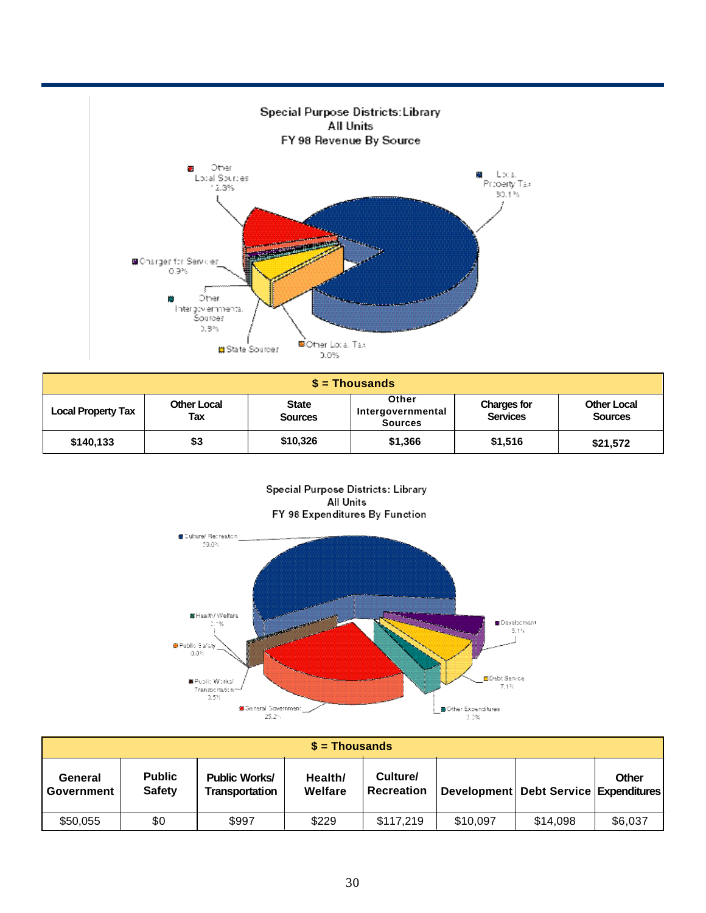

| $s =$ Thousands           |                           |                                |                                              |                                       |                                      |  |  |  |  |
|---------------------------|---------------------------|--------------------------------|----------------------------------------------|---------------------------------------|--------------------------------------|--|--|--|--|
| <b>Local Property Tax</b> | <b>Other Local</b><br>Tax | <b>State</b><br><b>Sources</b> | Other<br>Intergovernmental<br><b>Sources</b> | <b>Charges for</b><br><b>Services</b> | <b>Other Local</b><br><b>Sources</b> |  |  |  |  |
| \$140,133                 | \$3                       | \$10,326                       | \$1,366                                      | \$1,516                               | \$21,572                             |  |  |  |  |

Special Purpose Districts: Library All Units FY 98 Expenditures By Function



| $s =$ Thousands       |                                |                                               |                    |                               |          |                                       |         |  |
|-----------------------|--------------------------------|-----------------------------------------------|--------------------|-------------------------------|----------|---------------------------------------|---------|--|
| General<br>Government | <b>Public</b><br><b>Safety</b> | <b>Public Works/</b><br><b>Transportation</b> | Health/<br>Welfare | Culture/<br><b>Recreation</b> |          | Development Debt Service Expenditures | Other   |  |
| \$50,055              | \$0                            | \$997                                         | \$229              | \$117,219                     | \$10,097 | \$14.098                              | \$6,037 |  |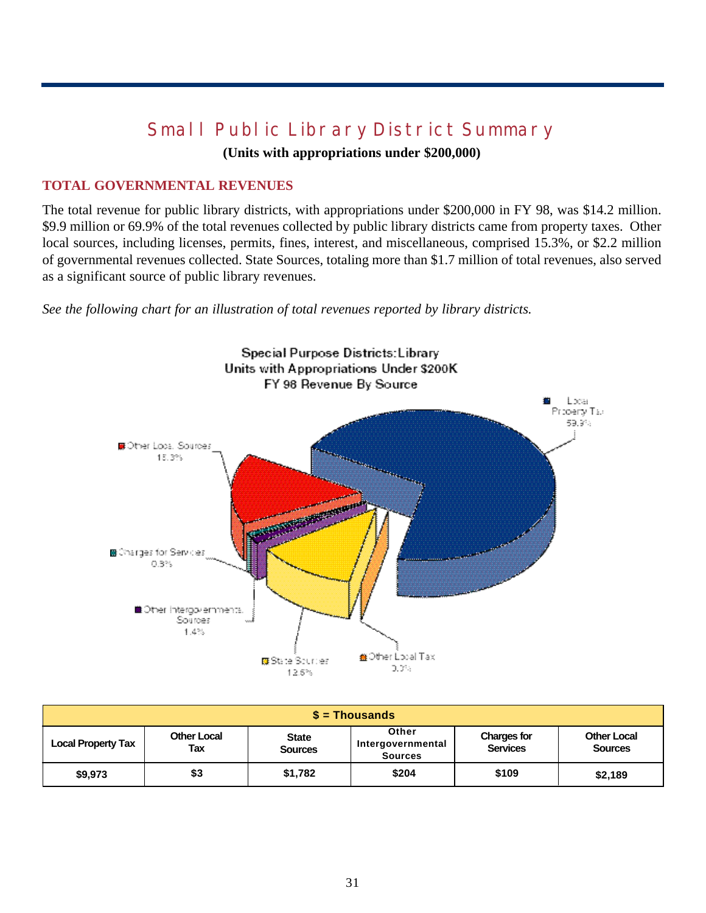# **Small Public Library District Summary**

**(Units with appropriations under \$200,000)**

## **TOTAL GOVERNMENTAL REVENUES**

The total revenue for public library districts, with appropriations under \$200,000 in FY 98, was \$14.2 million. \$9.9 million or 69.9% of the total revenues collected by public library districts came from property taxes. Other local sources, including licenses, permits, fines, interest, and miscellaneous, comprised 15.3%, or \$2.2 million of governmental revenues collected. State Sources, totaling more than \$1.7 million of total revenues, also served as a significant source of public library revenues.

*See the following chart for an illustration of total revenues reported by library districts.* 



| $s =$ Thousands           |                           |                                |                                              |                                       |                                      |  |  |  |  |
|---------------------------|---------------------------|--------------------------------|----------------------------------------------|---------------------------------------|--------------------------------------|--|--|--|--|
| <b>Local Property Tax</b> | <b>Other Local</b><br>Tax | <b>State</b><br><b>Sources</b> | Other<br>Intergovernmental<br><b>Sources</b> | <b>Charges for</b><br><b>Services</b> | <b>Other Local</b><br><b>Sources</b> |  |  |  |  |
| \$9,973                   | \$3                       | \$1,782                        | \$204                                        | \$109                                 | \$2,189                              |  |  |  |  |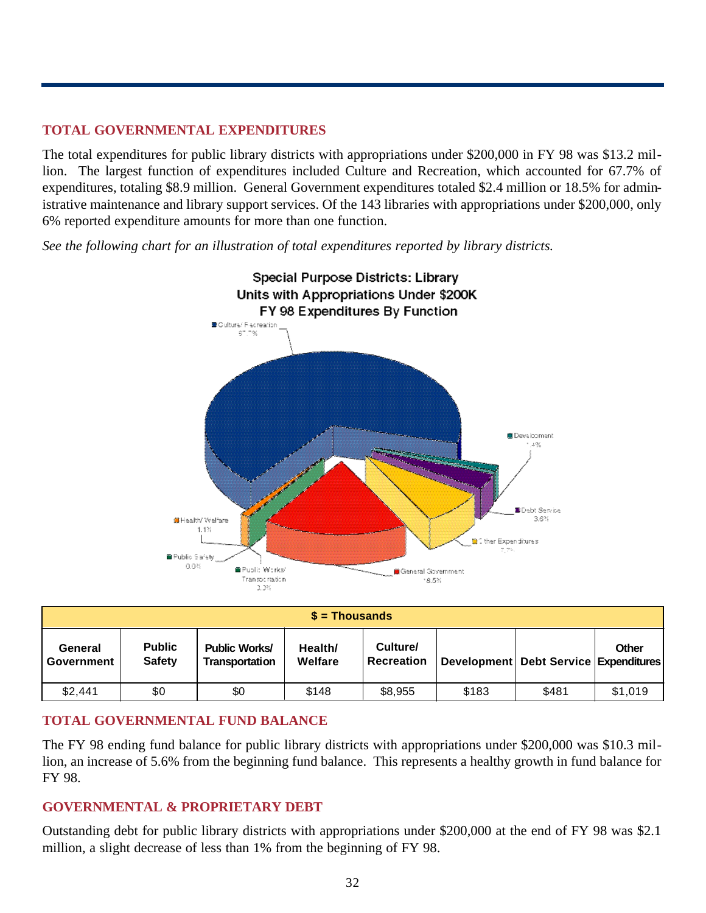## **TOTAL GOVERNMENTAL EXPENDITURES**

The total expenditures for public library districts with appropriations under \$200,000 in FY 98 was \$13.2 million. The largest function of expenditures included Culture and Recreation, which accounted for 67.7% of expenditures, totaling \$8.9 million. General Government expenditures totaled \$2.4 million or 18.5% for administrative maintenance and library support services. Of the 143 libraries with appropriations under \$200,000, only 6% reported expenditure amounts for more than one function.

*See the following chart for an illustration of total expenditures reported by library districts.* 



| $\$$ = Thousands      |                                |                                               |                    |                               |       |                                       |         |  |
|-----------------------|--------------------------------|-----------------------------------------------|--------------------|-------------------------------|-------|---------------------------------------|---------|--|
| General<br>Government | <b>Public</b><br><b>Safety</b> | <b>Public Works/</b><br><b>Transportation</b> | Health/<br>Welfare | Culture/<br><b>Recreation</b> |       | Development Debt Service Expenditures | Other   |  |
| \$2,441               | \$0                            | \$0                                           | \$148              | \$8,955                       | \$183 | \$481                                 | \$1,019 |  |

## **TOTAL GOVERNMENTAL FUND BALANCE**

The FY 98 ending fund balance for public library districts with appropriations under \$200,000 was \$10.3 million, an increase of 5.6% from the beginning fund balance. This represents a healthy growth in fund balance for FY 98.

#### **GOVERNMENTAL & PROPRIETARY DEBT**

Outstanding debt for public library districts with appropriations under \$200,000 at the end of FY 98 was \$2.1 million, a slight decrease of less than 1% from the beginning of FY 98.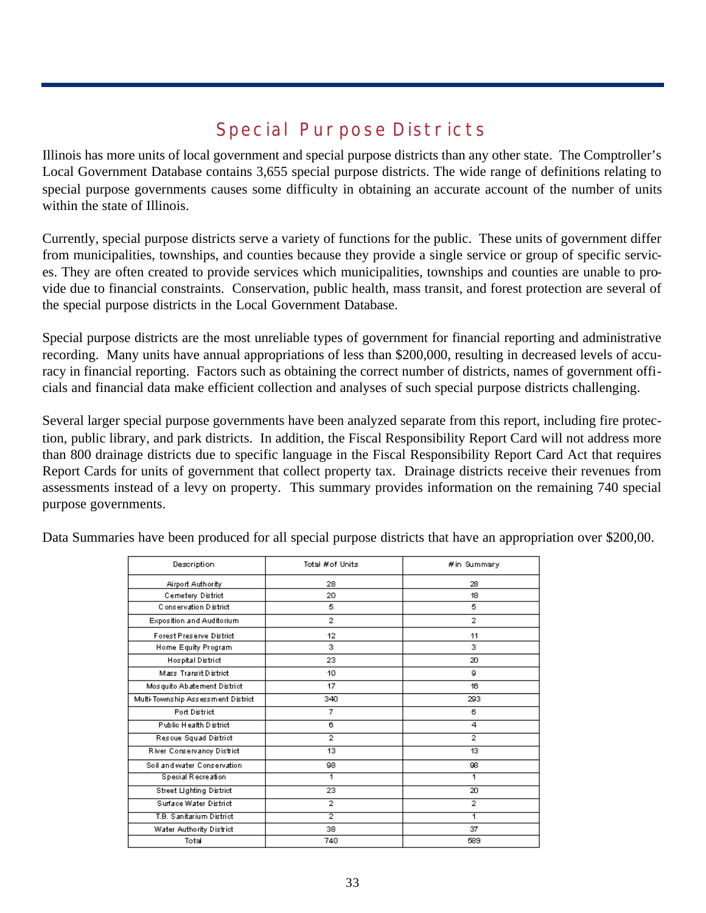# **Special Purpose Districts**

Illinois has more units of local government and special purpose districts than any other state. The Comptroller's Local Government Database contains 3,655 special purpose districts. The wide range of definitions relating to special purpose governments causes some difficulty in obtaining an accurate account of the number of units within the state of Illinois.

Currently, special purpose districts serve a variety of functions for the public. These units of government differ from municipalities, townships, and counties because they provide a single service or group of specific services. They are often created to provide services which municipalities, townships and counties are unable to provide due to financial constraints. Conservation, public health, mass transit, and forest protection are several of the special purpose districts in the Local Government Database.

Special purpose districts are the most unreliable types of government for financial reporting and administrative recording. Many units have annual appropriations of less than \$200,000, resulting in decreased levels of accuracy in financial reporting. Factors such as obtaining the correct number of districts, names of government officials and financial data make efficient collection and analyses of such special purpose districts challenging.

Several larger special purpose governments have been analyzed separate from this report, including fire protection, public library, and park districts. In addition, the Fiscal Responsibility Report Card will not address more than 800 drainage districts due to specific language in the Fiscal Responsibility Report Card Act that requires Report Cards for units of government that collect property tax. Drainage districts receive their revenues from assessments instead of a levy on property. This summary provides information on the remaining 740 special purpose governments.

| Description                        | Total #of Units | #in Summary    |
|------------------------------------|-----------------|----------------|
| Airport Authority                  | 28              | 28             |
| Cemetery District                  | 20              | 18             |
| Conservation District              | 5               | 5              |
| Exposition and Auditorium          | $\mathbf{2}$    | $\overline{2}$ |
| Forest Preserve District           | 12              | 11             |
| Home Equity Program                | з               | з              |
| Hospital District                  | 23              | 20             |
| Mass Transit District              | 10              | я              |
| Mosquito Abatement District        | 17              | 16             |
| Multi-Township Assessment District | 340             | 293            |
| Port District                      | 7               | 6              |
| Public Health District             | 6               | 4              |
| Rescue Squad District              | $\overline{2}$  | $\overline{2}$ |
| River Conservancy District         | 13              | 13             |
| Soil and water Conservation        | 98              | 98.            |
| <b>Special Recreation</b>          | 1               | 1              |
| Street Lighting District           | 23              | 20             |
| Surface Water District             | $\overline{2}$  | $\overline{2}$ |
| T.B. Sanitarium District           | $\overline{2}$  | 1              |
| Water Authority District           | 38              | 37             |
| Total                              | 740             | 589            |

Data Summaries have been produced for all special purpose districts that have an appropriation over \$200,00.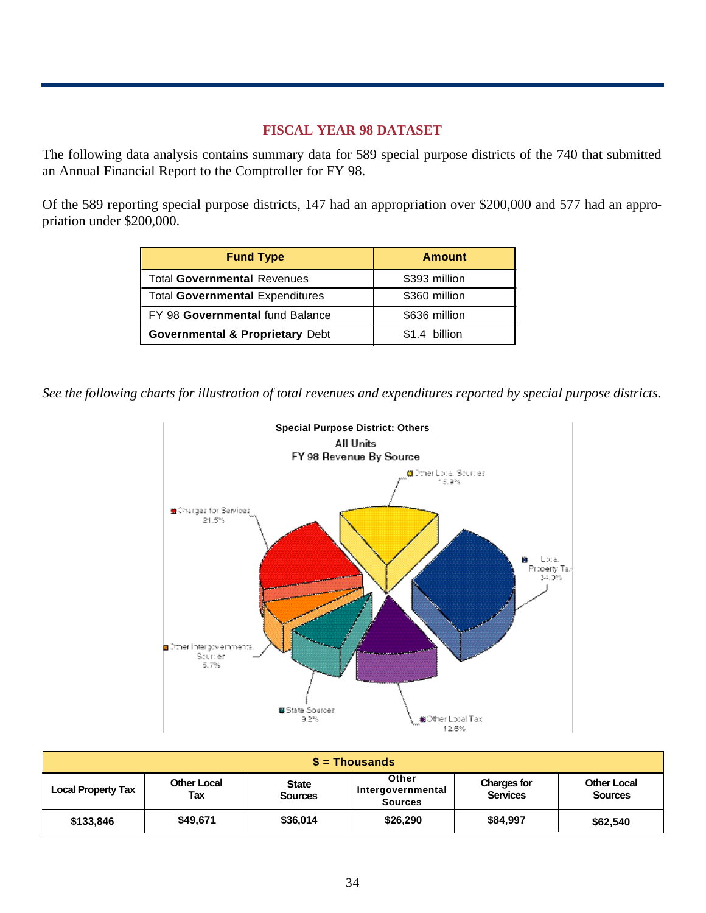#### **FISCAL YEAR 98 DATASET**

The following data analysis contains summary data for 589 special purpose districts of the 740 that submitted an Annual Financial Report to the Comptroller for FY 98.

Of the 589 reporting special purpose districts, 147 had an appropriation over \$200,000 and 577 had an appropriation under \$200,000.

| <b>Fund Type</b>                           | <b>Amount</b> |
|--------------------------------------------|---------------|
| <b>Total Governmental Revenues</b>         | \$393 million |
| <b>Total Governmental Expenditures</b>     | \$360 million |
| FY 98 Governmental fund Balance            | \$636 million |
| <b>Governmental &amp; Proprietary Debt</b> | \$1.4 billion |

*See the following charts for illustration of total revenues and expenditures reported by special purpose districts.*



| $\$$ = Thousands          |                    |                                |                                              |                                       |                                      |  |  |  |  |
|---------------------------|--------------------|--------------------------------|----------------------------------------------|---------------------------------------|--------------------------------------|--|--|--|--|
| <b>Local Property Tax</b> | Other Local<br>Tax | <b>State</b><br><b>Sources</b> | Other<br>Intergovernmental<br><b>Sources</b> | <b>Charges for</b><br><b>Services</b> | <b>Other Local</b><br><b>Sources</b> |  |  |  |  |
| \$133,846                 | \$49,671           | \$36,014                       | \$26,290                                     | \$84,997                              | \$62,540                             |  |  |  |  |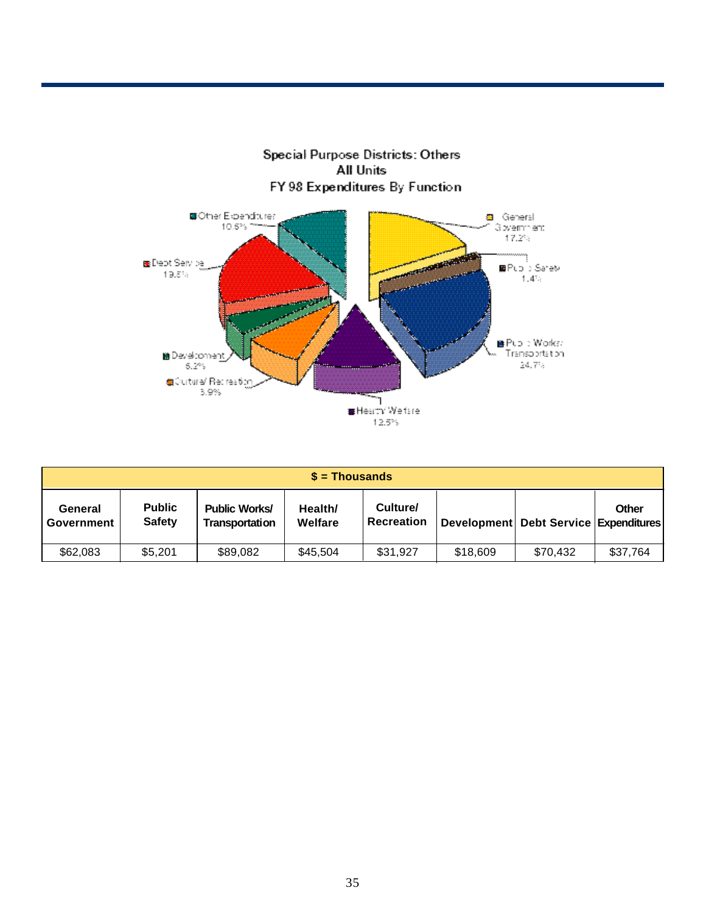

| $s =$ Thousands       |                                |                                        |                    |                               |          |                                           |          |  |
|-----------------------|--------------------------------|----------------------------------------|--------------------|-------------------------------|----------|-------------------------------------------|----------|--|
| General<br>Government | <b>Public</b><br><b>Safety</b> | <b>Public Works/</b><br>Transportation | Health/<br>Welfare | Culture/<br><b>Recreation</b> |          | Development   Debt Service   Expenditures | Other    |  |
| \$62,083              | \$5,201                        | \$89,082                               | \$45.504           | \$31,927                      | \$18,609 | \$70.432                                  | \$37,764 |  |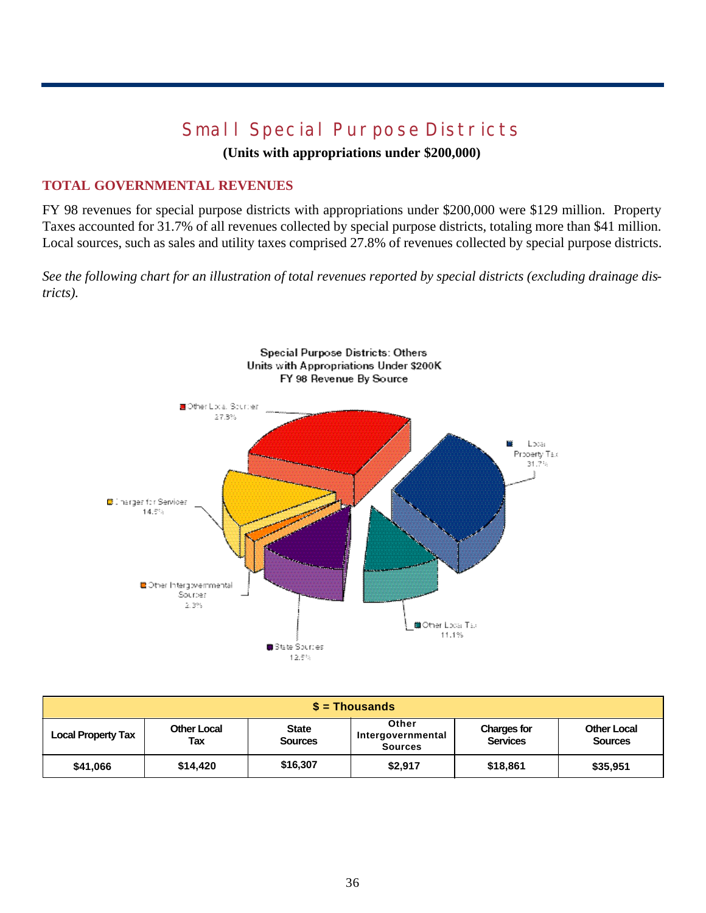# **Small Special Purpose Districts**

**(Units with appropriations under \$200,000)**

## **TOTAL GOVERNMENTAL REVENUES**

FY 98 revenues for special purpose districts with appropriations under \$200,000 were \$129 million. Property Taxes accounted for 31.7% of all revenues collected by special purpose districts, totaling more than \$41 million. Local sources, such as sales and utility taxes comprised 27.8% of revenues collected by special purpose districts.

*See the following chart for an illustration of total revenues reported by special districts (excluding drainage districts).* 



| $\sqrt{s}$ = Thousands    |                           |                                |                                              |                                       |                                      |  |  |  |  |
|---------------------------|---------------------------|--------------------------------|----------------------------------------------|---------------------------------------|--------------------------------------|--|--|--|--|
| <b>Local Property Tax</b> | <b>Other Local</b><br>Tax | <b>State</b><br><b>Sources</b> | Other<br>Intergovernmental<br><b>Sources</b> | <b>Charges for</b><br><b>Services</b> | <b>Other Local</b><br><b>Sources</b> |  |  |  |  |
| \$41,066                  | \$14,420                  | \$16,307                       | \$2,917                                      | \$18,861                              | \$35,951                             |  |  |  |  |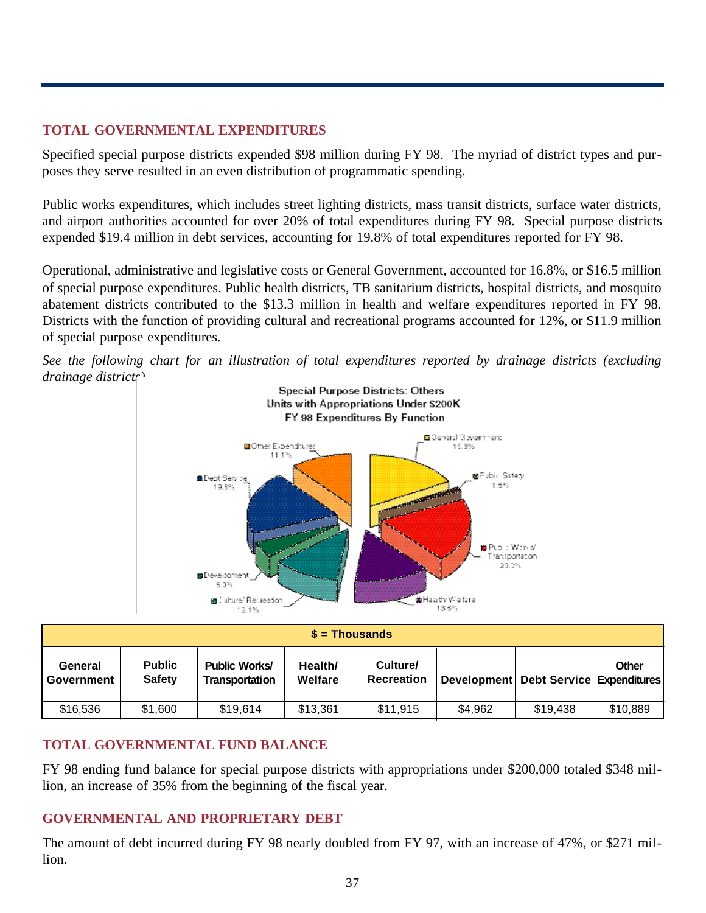## **TOTAL GOVERNMENTAL EXPENDITURES**

Specified special purpose districts expended \$98 million during FY 98. The myriad of district types and purposes they serve resulted in an even distribution of programmatic spending.

Public works expenditures, which includes street lighting districts, mass transit districts, surface water districts, and airport authorities accounted for over 20% of total expenditures during FY 98. Special purpose districts expended \$19.4 million in debt services, accounting for 19.8% of total expenditures reported for FY 98.

Operational, administrative and legislative costs or General Government, accounted for 16.8%, or \$16.5 million of special purpose expenditures. Public health districts, TB sanitarium districts, hospital districts, and mosquito abatement districts contributed to the \$13.3 million in health and welfare expenditures reported in FY 98. Districts with the function of providing cultural and recreational programs accounted for 12%, or \$11.9 million of special purpose expenditures.





| $$ =$ Thousands       |                                |                                        |                    |                               |         |                                       |          |  |
|-----------------------|--------------------------------|----------------------------------------|--------------------|-------------------------------|---------|---------------------------------------|----------|--|
| General<br>Government | <b>Public</b><br><b>Safety</b> | <b>Public Works/</b><br>Transportation | Health/<br>Welfare | Culture/<br><b>Recreation</b> |         | Development Debt Service Expenditures | Other    |  |
| \$16,536              | \$1,600                        | \$19,614                               | \$13,361           | \$11,915                      | \$4,962 | \$19,438                              | \$10,889 |  |

## **TOTAL GOVERNMENTAL FUND BALANCE**

FY 98 ending fund balance for special purpose districts with appropriations under \$200,000 totaled \$348 million, an increase of 35% from the beginning of the fiscal year.

## **GOVERNMENTAL AND PROPRIETARY DEBT**

The amount of debt incurred during FY 98 nearly doubled from FY 97, with an increase of 47%, or \$271 million.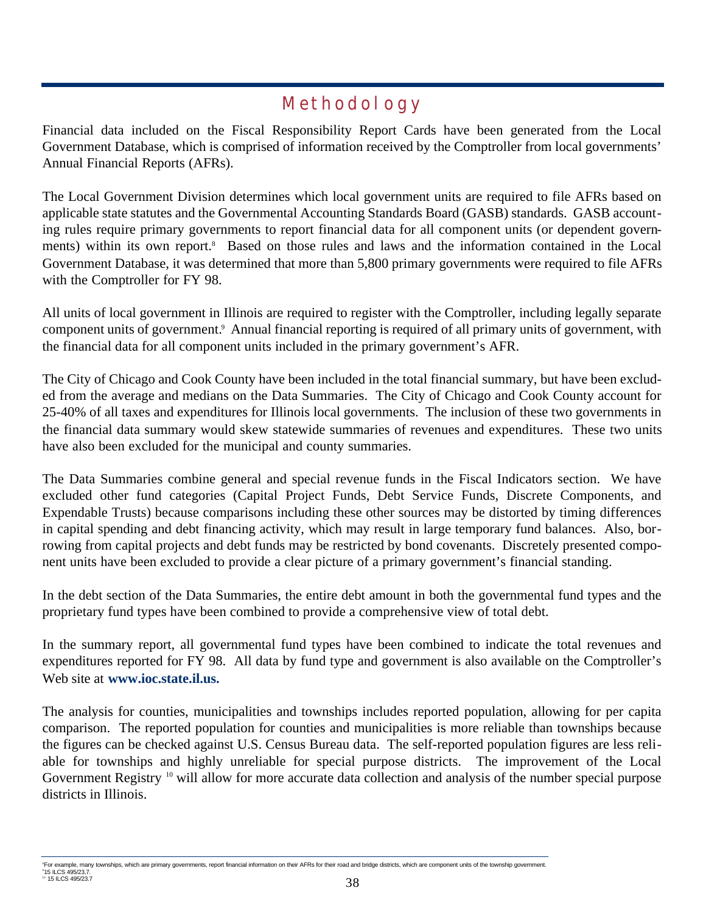## **Methodology**

Financial data included on the Fiscal Responsibility Report Cards have been generated from the Local Government Database, which is comprised of information received by the Comptroller from local governments' Annual Financial Reports (AFRs).

The Local Government Division determines which local government units are required to file AFRs based on applicable state statutes and the Governmental Accounting Standards Board (GASB) standards. GASB accounting rules require primary governments to report financial data for all component units (or dependent governments) within its own report.<sup>8</sup> Based on those rules and laws and the information contained in the Local Government Database, it was determined that more than 5,800 primary governments were required to file AFRs with the Comptroller for FY 98.

All units of local government in Illinois are required to register with the Comptroller, including legally separate component units of government.<sup>9</sup> Annual financial reporting is required of all primary units of government, with the financial data for all component units included in the primary government's AFR.

The City of Chicago and Cook County have been included in the total financial summary, but have been excluded from the average and medians on the Data Summaries. The City of Chicago and Cook County account for 25-40% of all taxes and expenditures for Illinois local governments. The inclusion of these two governments in the financial data summary would skew statewide summaries of revenues and expenditures. These two units have also been excluded for the municipal and county summaries.

The Data Summaries combine general and special revenue funds in the Fiscal Indicators section. We have excluded other fund categories (Capital Project Funds, Debt Service Funds, Discrete Components, and Expendable Trusts) because comparisons including these other sources may be distorted by timing differences in capital spending and debt financing activity, which may result in large temporary fund balances. Also, borrowing from capital projects and debt funds may be restricted by bond covenants. Discretely presented component units have been excluded to provide a clear picture of a primary government's financial standing.

In the debt section of the Data Summaries, the entire debt amount in both the governmental fund types and the proprietary fund types have been combined to provide a comprehensive view of total debt.

In the summary report, all governmental fund types have been combined to indicate the total revenues and expenditures reported for FY 98. All data by fund type and government is also available on the Comptroller's Web site at **www.ioc.state.il.us.**

The analysis for counties, municipalities and townships includes reported population, allowing for per capita comparison. The reported population for counties and municipalities is more reliable than townships because the figures can be checked against U.S. Census Bureau data. The self-reported population figures are less reliable for townships and highly unreliable for special purpose districts. The improvement of the Local Government Registry <sup>10</sup> will allow for more accurate data collection and analysis of the number special purpose districts in Illinois.

<sup>8</sup>For example, many townships, which are primary governments, report financial information on their AFRs for their road and bridge districts, which are component units of the township government. 9 15 ILCS 495/23,7.

<sup>15</sup> ILCS 495/23.7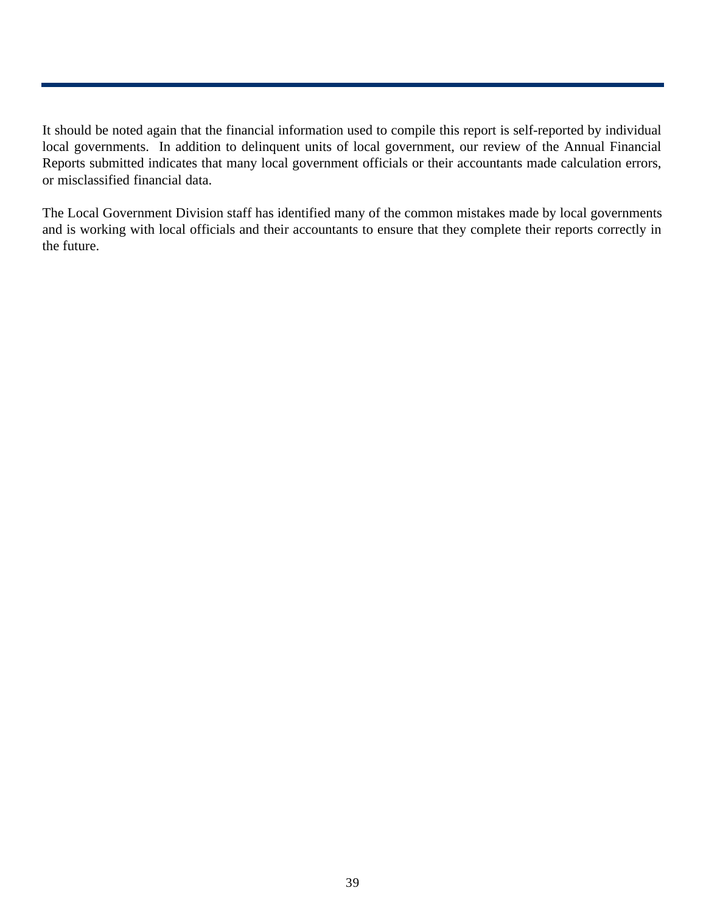It should be noted again that the financial information used to compile this report is self-reported by individual local governments. In addition to delinquent units of local government, our review of the Annual Financial Reports submitted indicates that many local government officials or their accountants made calculation errors, or misclassified financial data.

The Local Government Division staff has identified many of the common mistakes made by local governments and is working with local officials and their accountants to ensure that they complete their reports correctly in the future.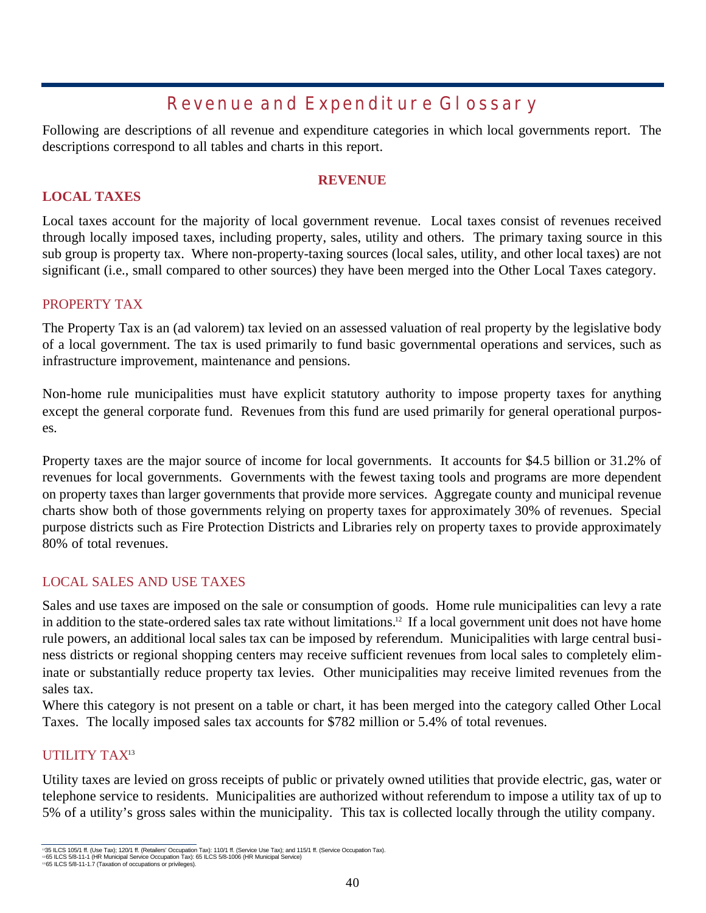## **Revenue and Expenditure Glossary**

Following are descriptions of all revenue and expenditure categories in which local governments report. The descriptions correspond to all tables and charts in this report.

## **REVENUE**

## **LOCAL TAXES**

Local taxes account for the majority of local government revenue. Local taxes consist of revenues received through locally imposed taxes, including property, sales, utility and others. The primary taxing source in this sub group is property tax. Where non-property-taxing sources (local sales, utility, and other local taxes) are not significant (i.e., small compared to other sources) they have been merged into the Other Local Taxes category.

#### PROPERTY TAX

The Property Tax is an (ad valorem) tax levied on an assessed valuation of real property by the legislative body of a local government. The tax is used primarily to fund basic governmental operations and services, such as infrastructure improvement, maintenance and pensions.

Non-home rule municipalities must have explicit statutory authority to impose property taxes for anything except the general corporate fund. Revenues from this fund are used primarily for general operational purposes.

Property taxes are the major source of income for local governments. It accounts for \$4.5 billion or 31.2% of revenues for local governments. Governments with the fewest taxing tools and programs are more dependent on property taxes than larger governments that provide more services. Aggregate county and municipal revenue charts show both of those governments relying on property taxes for approximately 30% of revenues. Special purpose districts such as Fire Protection Districts and Libraries rely on property taxes to provide approximately 80% of total revenues.

## LOCAL SALES AND USE TAXES

Sales and use taxes are imposed on the sale or consumption of goods. Home rule municipalities can levy a rate in addition to the state-ordered sales tax rate without limitations.<sup>12</sup> If a local government unit does not have home rule powers, an additional local sales tax can be imposed by referendum. Municipalities with large central business districts or regional shopping centers may receive sufficient revenues from local sales to completely eliminate or substantially reduce property tax levies. Other municipalities may receive limited revenues from the sales tax.

Where this category is not present on a table or chart, it has been merged into the category called Other Local Taxes. The locally imposed sales tax accounts for \$782 million or 5.4% of total revenues.

## UTILITY TAX<sup>13</sup>

Utility taxes are levied on gross receipts of public or privately owned utilities that provide electric, gas, water or telephone service to residents. Municipalities are authorized without referendum to impose a utility tax of up to 5% of a utility's gross sales within the municipality. This tax is collected locally through the utility company.

<sup>135</sup> ILCS 105/1 ff. (Use Tax); 120/1 ff. (Retailers' Occupation Tax); 110/1 ff. (Service Use Tax); and 115/1 ff. (Service Occupation Tax).

<sup>&</sup>lt;sup>12</sup>65 ILCS 5/8-11-1 (HR Municipal Service Occupation Tax): 65 ILCS 5/8-1006 (HR Municipal Service)<br>1ª65 ILCS 5/8-11-1.7 (Taxation of occupations or privileges).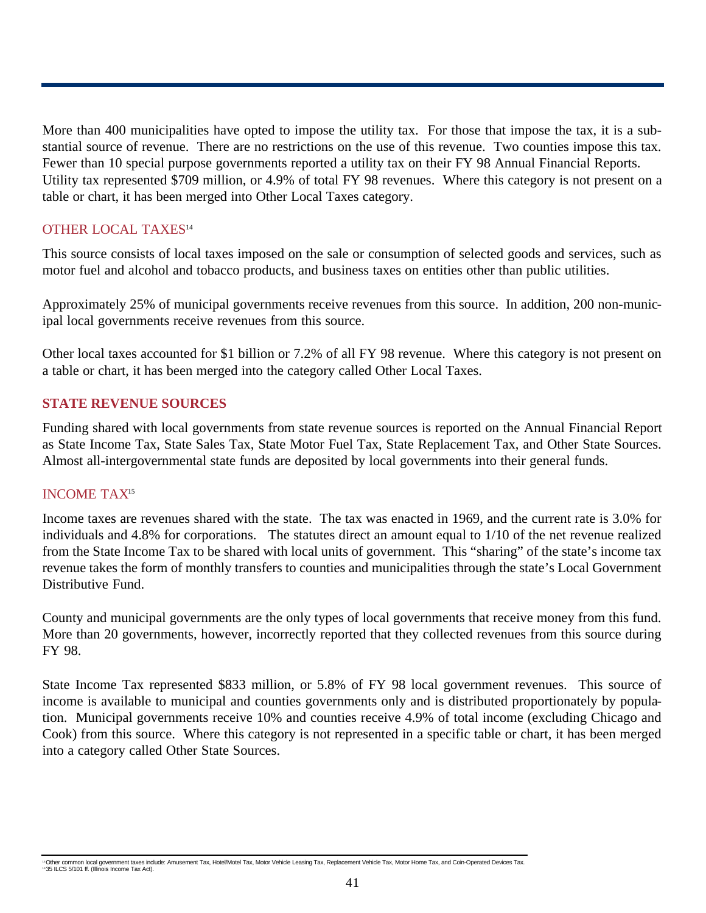More than 400 municipalities have opted to impose the utility tax. For those that impose the tax, it is a substantial source of revenue. There are no restrictions on the use of this revenue. Two counties impose this tax. Fewer than 10 special purpose governments reported a utility tax on their FY 98 Annual Financial Reports. Utility tax represented \$709 million, or 4.9% of total FY 98 revenues. Where this category is not present on a table or chart, it has been merged into Other Local Taxes category.

#### OTHER LOCAL TAXES<sup>14</sup>

This source consists of local taxes imposed on the sale or consumption of selected goods and services, such as motor fuel and alcohol and tobacco products, and business taxes on entities other than public utilities.

Approximately 25% of municipal governments receive revenues from this source. In addition, 200 non-municipal local governments receive revenues from this source.

Other local taxes accounted for \$1 billion or 7.2% of all FY 98 revenue. Where this category is not present on a table or chart, it has been merged into the category called Other Local Taxes.

#### **STATE REVENUE SOURCES**

Funding shared with local governments from state revenue sources is reported on the Annual Financial Report as State Income Tax, State Sales Tax, State Motor Fuel Tax, State Replacement Tax, and Other State Sources. Almost all-intergovernmental state funds are deposited by local governments into their general funds.

#### INCOME TAX<sup>15</sup>

Income taxes are revenues shared with the state. The tax was enacted in 1969, and the current rate is 3.0% for individuals and 4.8% for corporations. The statutes direct an amount equal to 1/10 of the net revenue realized from the State Income Tax to be shared with local units of government. This "sharing" of the state's income tax revenue takes the form of monthly transfers to counties and municipalities through the state's Local Government Distributive Fund.

County and municipal governments are the only types of local governments that receive money from this fund. More than 20 governments, however, incorrectly reported that they collected revenues from this source during FY 98.

State Income Tax represented \$833 million, or 5.8% of FY 98 local government revenues. This source of income is available to municipal and counties governments only and is distributed proportionately by population. Municipal governments receive 10% and counties receive 4.9% of total income (excluding Chicago and Cook) from this source. Where this category is not represented in a specific table or chart, it has been merged into a category called Other State Sources.

<sup>&#</sup>x27;\*Other common local government taxes include: Amusement Tax, Hotel/Motel Tax, Motor Vehicle Leasing Tax, Replacement Vehicle Tax, Motor Home Tax, and Coin-Operated Devices Tax.<br>'\*35 ILCS 5/101 ff. (Illinois Income Tax Act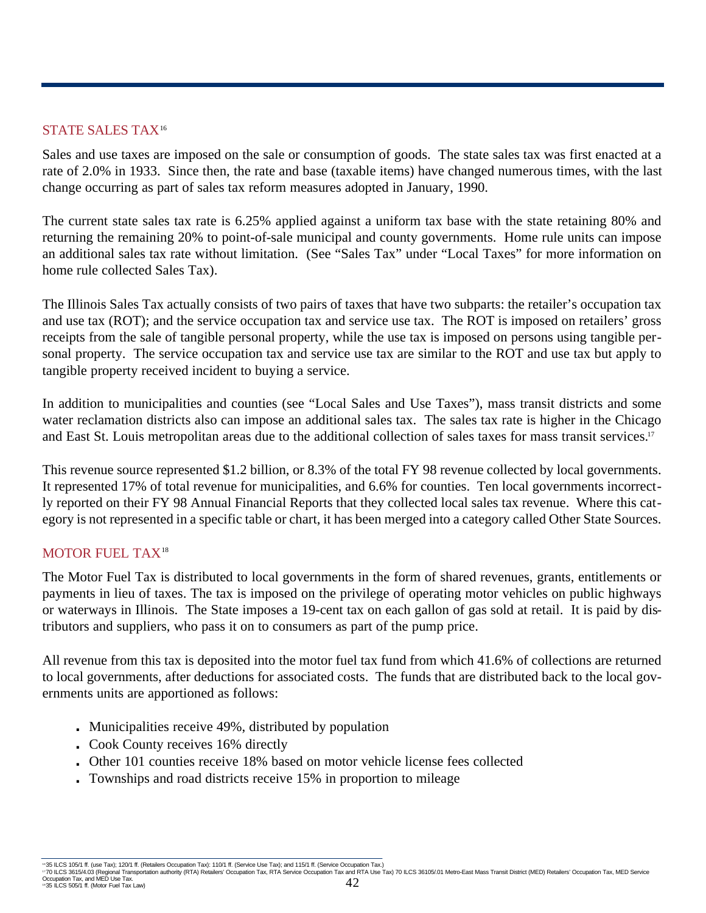## STATE SALES TAX<sup>16</sup>

Sales and use taxes are imposed on the sale or consumption of goods. The state sales tax was first enacted at a rate of 2.0% in 1933. Since then, the rate and base (taxable items) have changed numerous times, with the last change occurring as part of sales tax reform measures adopted in January, 1990.

The current state sales tax rate is 6.25% applied against a uniform tax base with the state retaining 80% and returning the remaining 20% to point-of-sale municipal and county governments. Home rule units can impose an additional sales tax rate without limitation. (See "Sales Tax" under "Local Taxes" for more information on home rule collected Sales Tax).

The Illinois Sales Tax actually consists of two pairs of taxes that have two subparts: the retailer's occupation tax and use tax (ROT); and the service occupation tax and service use tax. The ROT is imposed on retailers' gross receipts from the sale of tangible personal property, while the use tax is imposed on persons using tangible personal property. The service occupation tax and service use tax are similar to the ROT and use tax but apply to tangible property received incident to buying a service.

In addition to municipalities and counties (see "Local Sales and Use Taxes"), mass transit districts and some water reclamation districts also can impose an additional sales tax. The sales tax rate is higher in the Chicago and East St. Louis metropolitan areas due to the additional collection of sales taxes for mass transit services.<sup>17</sup>

This revenue source represented \$1.2 billion, or 8.3% of the total FY 98 revenue collected by local governments. It represented 17% of total revenue for municipalities, and 6.6% for counties. Ten local governments incorrectly reported on their FY 98 Annual Financial Reports that they collected local sales tax revenue. Where this category is not represented in a specific table or chart, it has been merged into a category called Other State Sources.

## MOTOR FUEL TAX<sup>18</sup>

The Motor Fuel Tax is distributed to local governments in the form of shared revenues, grants, entitlements or payments in lieu of taxes. The tax is imposed on the privilege of operating motor vehicles on public highways or waterways in Illinois. The State imposes a 19-cent tax on each gallon of gas sold at retail. It is paid by distributors and suppliers, who pass it on to consumers as part of the pump price.

All revenue from this tax is deposited into the motor fuel tax fund from which 41.6% of collections are returned to local governments, after deductions for associated costs. The funds that are distributed back to the local governments units are apportioned as follows:

- **.** Municipalities receive 49%, distributed by population
- **.** Cook County receives 16% directly
- **.** Other 101 counties receive 18% based on motor vehicle license fees collected
- **.** Townships and road districts receive 15% in proportion to mileage

"35 ILCS 105/1 ff. (use Tax); 120/1 ff. (Retailers Occupation Tax): 110/1 ff. (Service Use Tax); and 115/1 ff. (Service Occupation Tax). Dubber 1200 ft. (Service Occupation Tax). and RTA Use Tax) 70 ILCS 36105/.01 Metro-Ea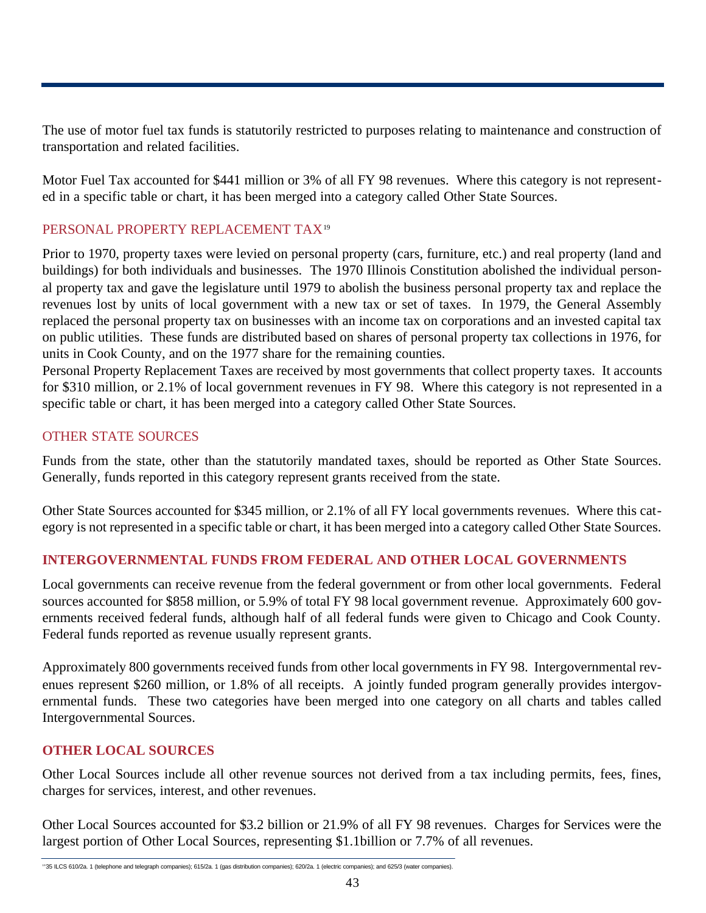The use of motor fuel tax funds is statutorily restricted to purposes relating to maintenance and construction of transportation and related facilities.

Motor Fuel Tax accounted for \$441 million or 3% of all FY 98 revenues. Where this category is not represented in a specific table or chart, it has been merged into a category called Other State Sources.

## PERSONAL PROPERTY REPLACEMENT TAX<sup>19</sup>

Prior to 1970, property taxes were levied on personal property (cars, furniture, etc.) and real property (land and buildings) for both individuals and businesses. The 1970 Illinois Constitution abolished the individual personal property tax and gave the legislature until 1979 to abolish the business personal property tax and replace the revenues lost by units of local government with a new tax or set of taxes. In 1979, the General Assembly replaced the personal property tax on businesses with an income tax on corporations and an invested capital tax on public utilities. These funds are distributed based on shares of personal property tax collections in 1976, for units in Cook County, and on the 1977 share for the remaining counties.

Personal Property Replacement Taxes are received by most governments that collect property taxes. It accounts for \$310 million, or 2.1% of local government revenues in FY 98. Where this category is not represented in a specific table or chart, it has been merged into a category called Other State Sources.

## OTHER STATE SOURCES

Funds from the state, other than the statutorily mandated taxes, should be reported as Other State Sources. Generally, funds reported in this category represent grants received from the state.

Other State Sources accounted for \$345 million, or 2.1% of all FY local governments revenues. Where this category is not represented in a specific table or chart, it has been merged into a category called Other State Sources.

## **INTERGOVERNMENTAL FUNDS FROM FEDERAL AND OTHER LOCAL GOVERNMENTS**

Local governments can receive revenue from the federal government or from other local governments. Federal sources accounted for \$858 million, or 5.9% of total FY 98 local government revenue. Approximately 600 governments received federal funds, although half of all federal funds were given to Chicago and Cook County. Federal funds reported as revenue usually represent grants.

Approximately 800 governments received funds from other local governments in FY 98. Intergovernmental revenues represent \$260 million, or 1.8% of all receipts. A jointly funded program generally provides intergovernmental funds. These two categories have been merged into one category on all charts and tables called Intergovernmental Sources.

## **OTHER LOCAL SOURCES**

Other Local Sources include all other revenue sources not derived from a tax including permits, fees, fines, charges for services, interest, and other revenues.

Other Local Sources accounted for \$3.2 billion or 21.9% of all FY 98 revenues. Charges for Services were the largest portion of Other Local Sources, representing \$1.1billion or 7.7% of all revenues.

<sup>19</sup>35 ILCS 610/2a. 1 (telephone and telegraph companies); 615/2a. 1 (gas distribution companies); 620/2a. 1 (electric companies); and 625/3 (water companies).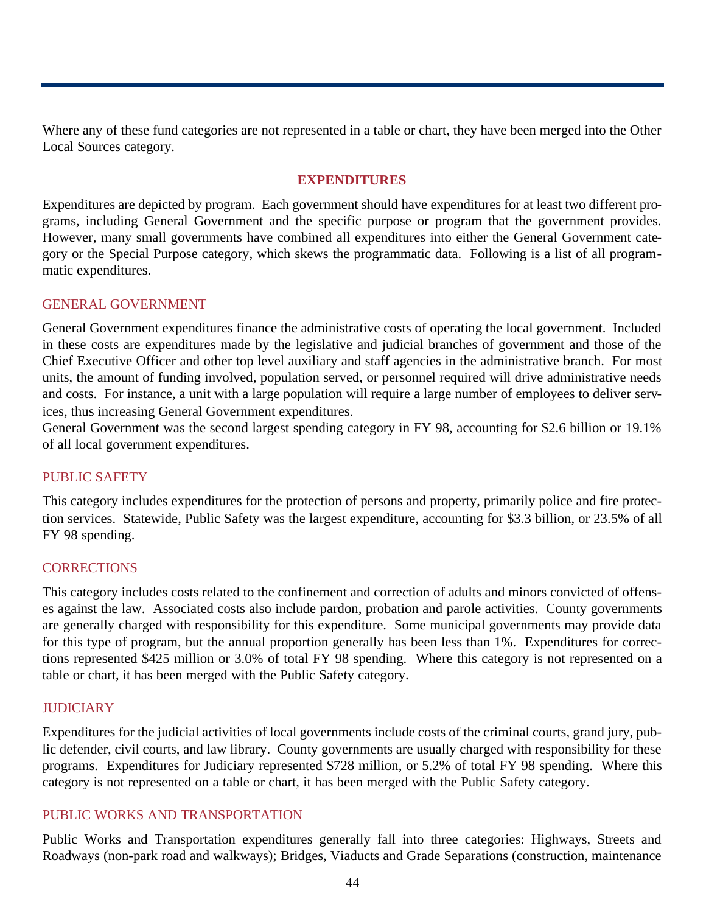Where any of these fund categories are not represented in a table or chart, they have been merged into the Other Local Sources category.

#### **EXPENDITURES**

Expenditures are depicted by program. Each government should have expenditures for at least two different programs, including General Government and the specific purpose or program that the government provides. However, many small governments have combined all expenditures into either the General Government category or the Special Purpose category, which skews the programmatic data. Following is a list of all programmatic expenditures.

#### GENERAL GOVERNMENT

General Government expenditures finance the administrative costs of operating the local government. Included in these costs are expenditures made by the legislative and judicial branches of government and those of the Chief Executive Officer and other top level auxiliary and staff agencies in the administrative branch. For most units, the amount of funding involved, population served, or personnel required will drive administrative needs and costs. For instance, a unit with a large population will require a large number of employees to deliver services, thus increasing General Government expenditures.

General Government was the second largest spending category in FY 98, accounting for \$2.6 billion or 19.1% of all local government expenditures.

#### PUBLIC SAFETY

This category includes expenditures for the protection of persons and property, primarily police and fire protection services. Statewide, Public Safety was the largest expenditure, accounting for \$3.3 billion, or 23.5% of all FY 98 spending.

#### **CORRECTIONS**

This category includes costs related to the confinement and correction of adults and minors convicted of offenses against the law. Associated costs also include pardon, probation and parole activities. County governments are generally charged with responsibility for this expenditure. Some municipal governments may provide data for this type of program, but the annual proportion generally has been less than 1%. Expenditures for corrections represented \$425 million or 3.0% of total FY 98 spending. Where this category is not represented on a table or chart, it has been merged with the Public Safety category.

#### **JUDICIARY**

Expenditures for the judicial activities of local governments include costs of the criminal courts, grand jury, public defender, civil courts, and law library. County governments are usually charged with responsibility for these programs. Expenditures for Judiciary represented \$728 million, or 5.2% of total FY 98 spending. Where this category is not represented on a table or chart, it has been merged with the Public Safety category.

### PUBLIC WORKS AND TRANSPORTATION

Public Works and Transportation expenditures generally fall into three categories: Highways, Streets and Roadways (non-park road and walkways); Bridges, Viaducts and Grade Separations (construction, maintenance